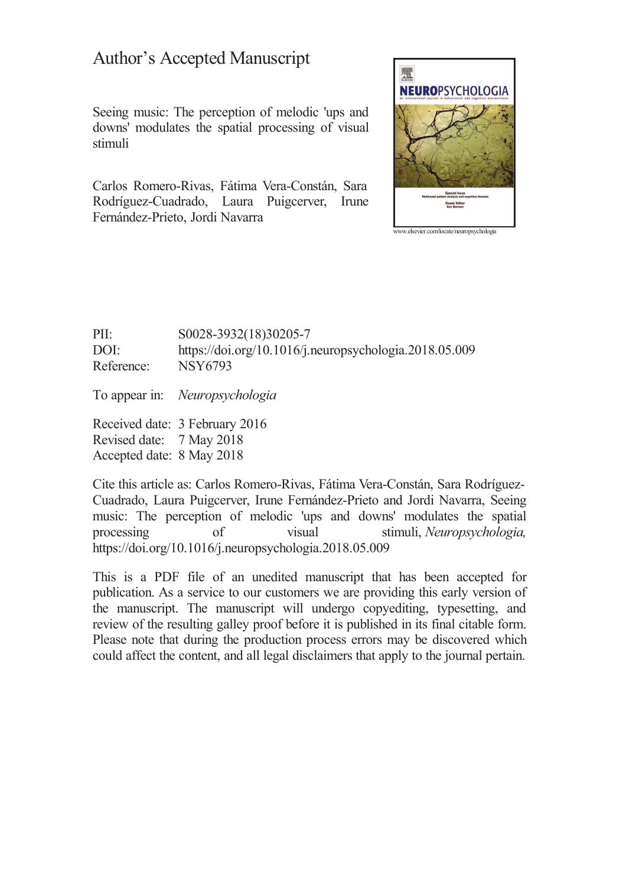# **Author's Accepted Manuscript**

Seeing music: The perception of melodic 'ups and downs' modulates the spatial processing of visual stimuli

Carlos Romero-Rivas, Fátima Vera-Constán, Sara Rodríguez-Cuadrado, Laura Puigcerver, Irune Fernández-Prieto, Jordi Navarra



 $PII:$ S0028-3932(18)30205-7 https://doi.org/10.1016/j.neuropsychologia.2018.05.009 DOI: **NSY6793** Reference:

To appear in: Neuropsychologia

Received date: 3 February 2016 Revised date: 7 May 2018 Accepted date: 8 May 2018

Cite this article as: Carlos Romero-Rivas, Fátima Vera-Constán, Sara Rodríguez-Cuadrado, Laura Puigcerver, Irune Fernández-Prieto and Jordi Navarra, Seeing music: The perception of melodic 'ups and downs' modulates the spatial processing visual stimuli, Neuropsychologia,  $\alpha$ f https://doi.org/10.1016/j.neuropsychologia.2018.05.009

This is a PDF file of an unedited manuscript that has been accepted for publication. As a service to our customers we are providing this early version of the manuscript. The manuscript will undergo copyediting, typesetting, and review of the resulting galley proof before it is published in its final citable form. Please note that during the production process errors may be discovered which could affect the content, and all legal disclaimers that apply to the journal pertain.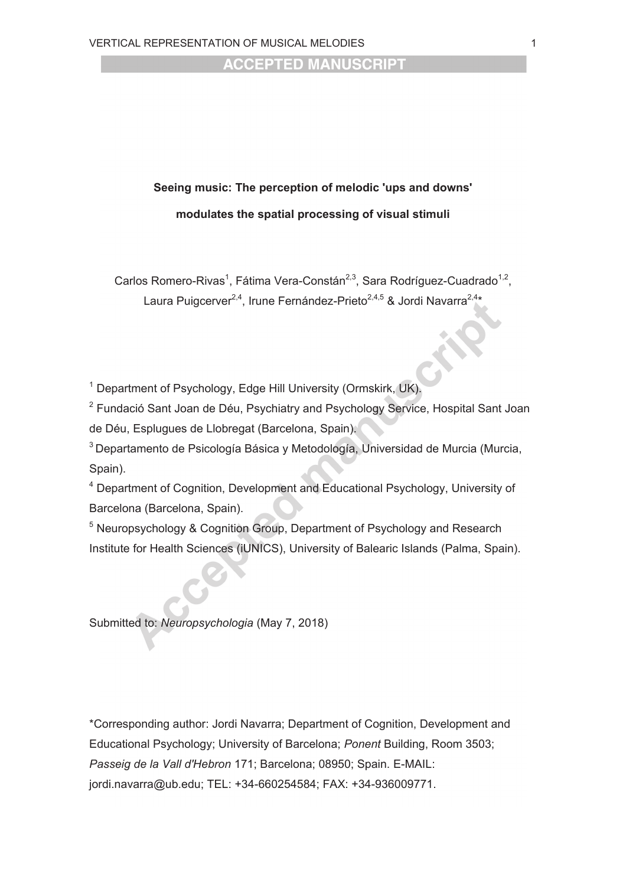# **Seeing music: The perception of melodic 'ups and downs' modulates the spatial processing of visual stimuli**

Carlos Romero-Rivas<sup>1</sup>, Fátima Vera-Constán<sup>2,3</sup>, Sara Rodríguez-Cuadrado<sup>1,2</sup>, Laura Puigcerver<sup>2,4</sup>, Irune Fernández-Prieto<sup>2,4,5</sup> & Jordi Navarra<sup>2,4\*</sup>

<sup>1</sup> Department of Psychology, Edge Hill University (Ormskirk, UK).

<sup>2</sup> Fundació Sant Joan de Déu, Psychiatry and Psychology Service, Hospital Sant Joan de Déu, Esplugues de Llobregat (Barcelona, Spain).

<sup>3</sup> Departamento de Psicología Básica y Metodología, Universidad de Murcia (Murcia, Spain).

<sup>4</sup> Department of Cognition, Development and Educational Psychology, University of Barcelona (Barcelona, Spain).

<sup>5</sup> Neuropsychology & Cognition Group, Department of Psychology and Research Institute for Health Sciences (iUNICS), University of Balearic Islands (Palma, Spain).

Submitted to: *Neuropsychologia* (May 7, 2018)

\*Corresponding author: Jordi Navarra; Department of Cognition, Development and Educational Psychology; University of Barcelona; *Ponent* Building, Room 3503; *Passeig de la Vall d'Hebron* 171; Barcelona; 08950; Spain. E-MAIL: jordi.navarra@ub.edu; TEL: +34-660254584; FAX: +34-936009771.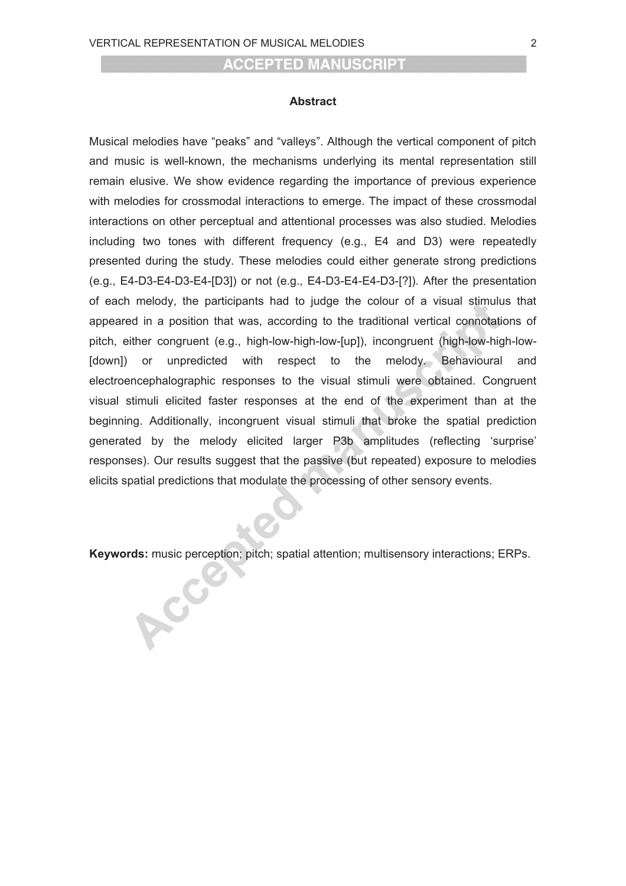#### **Abstract**

Musical melodies have "peaks" and "valleys". Although the vertical component of pitch and music is well-known, the mechanisms underlying its mental representation still remain elusive. We show evidence regarding the importance of previous experience with melodies for crossmodal interactions to emerge. The impact of these crossmodal interactions on other perceptual and attentional processes was also studied. Melodies including two tones with different frequency (e.g., E4 and D3) were repeatedly presented during the study. These melodies could either generate strong predictions (e.g., E4-D3-E4-D3-E4-[D3]) or not (e.g., E4-D3-E4-E4-D3-[?]). After the presentation of each melody, the participants had to judge the colour of a visual stimulus that appeared in a position that was, according to the traditional vertical connotations of pitch, either congruent (e.g., high-low-high-low-[up]), incongruent (high-low-high-low- [down]) or unpredicted with respect to the melody. Behavioural and electroencephalographic responses to the visual stimuli were obtained. Congruent visual stimuli elicited faster responses at the end of the experiment than at the beginning. Additionally, incongruent visual stimuli that broke the spatial prediction generated by the melody elicited larger P3b amplitudes (reflecting 'surprise' responses). Our results suggest that the passive (but repeated) exposure to melodies elicits spatial predictions that modulate the processing of other sensory events.

**Keywords:** music perception; pitch; spatial attention; multisensory interactions; ERPs.

Acce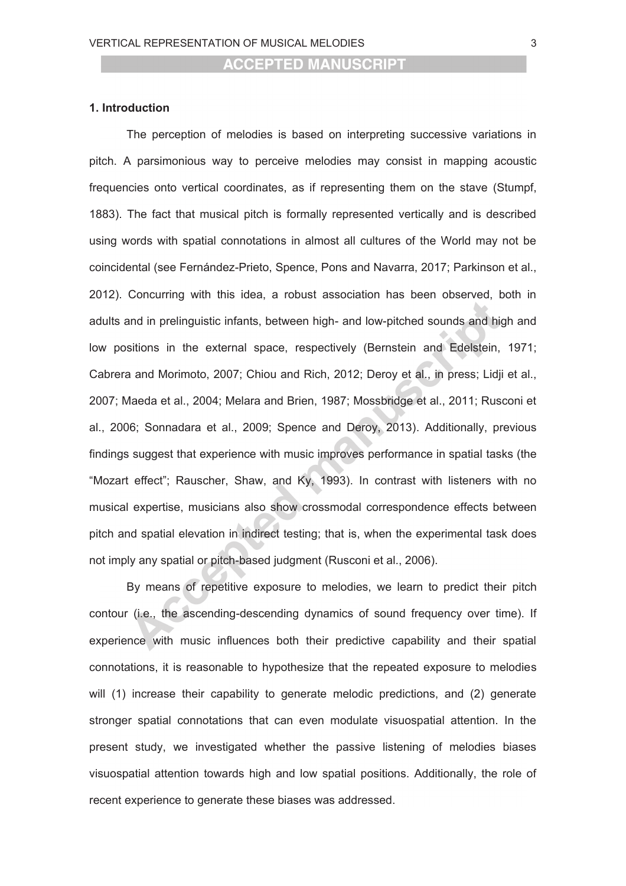#### **1. Introduction**

The perception of melodies is based on interpreting successive variations in pitch. A parsimonious way to perceive melodies may consist in mapping acoustic frequencies onto vertical coordinates, as if representing them on the stave (Stumpf, 1883). The fact that musical pitch is formally represented vertically and is described using words with spatial connotations in almost all cultures of the World may not be coincidental (see Fernández-Prieto, Spence, Pons and Navarra, 2017; Parkinson et al., 2012). Concurring with this idea, a robust association has been observed, both in adults and in prelinguistic infants, between high- and low-pitched sounds and high and low positions in the external space, respectively (Bernstein and Edelstein, 1971; Cabrera and Morimoto, 2007; Chiou and Rich, 2012; Deroy et al., in press; Lidji et al., 2007; Maeda et al., 2004; Melara and Brien, 1987; Mossbridge et al., 2011; Rusconi et al., 2006; Sonnadara et al., 2009; Spence and Deroy, 2013). Additionally, previous findings suggest that experience with music improves performance in spatial tasks (the "Mozart effect"; Rauscher, Shaw, and Ky, 1993). In contrast with listeners with no musical expertise, musicians also show crossmodal correspondence effects between pitch and spatial elevation in indirect testing; that is, when the experimental task does not imply any spatial or pitch-based judgment (Rusconi et al., 2006).

By means of repetitive exposure to melodies, we learn to predict their pitch contour (i.e., the ascending-descending dynamics of sound frequency over time). If experience with music influences both their predictive capability and their spatial connotations, it is reasonable to hypothesize that the repeated exposure to melodies will (1) increase their capability to generate melodic predictions, and (2) generate stronger spatial connotations that can even modulate visuospatial attention. In the present study, we investigated whether the passive listening of melodies biases visuospatial attention towards high and low spatial positions. Additionally, the role of recent experience to generate these biases was addressed.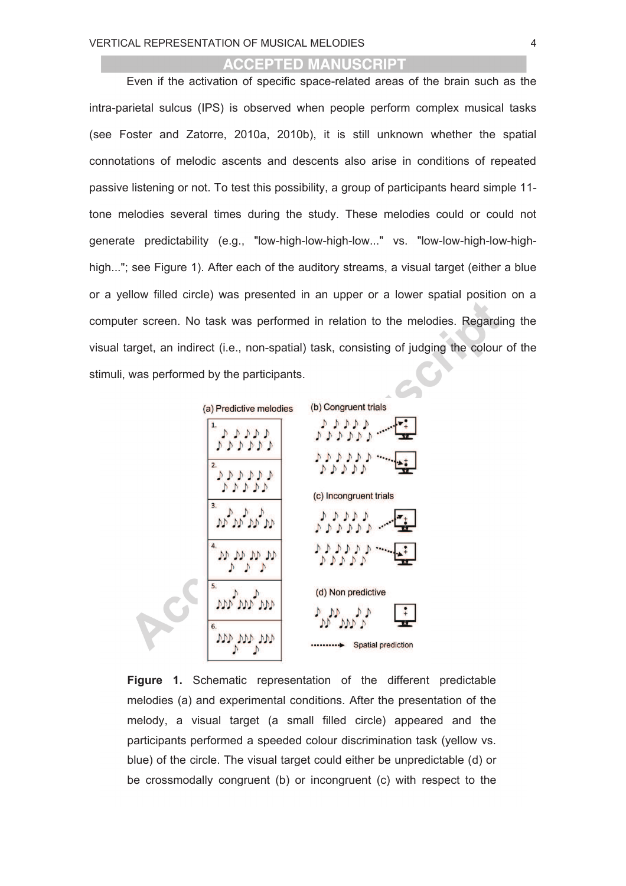Even if the activation of specific space-related areas of the brain such as the intra-parietal sulcus (IPS) is observed when people perform complex musical tasks (see Foster and Zatorre, 2010a, 2010b), it is still unknown whether the spatial connotations of melodic ascents and descents also arise in conditions of repeated passive listening or not. To test this possibility, a group of participants heard simple 11 tone melodies several times during the study. These melodies could or could not generate predictability (e.g., "low-high-low-high-low..." vs. "low-low-high-low-highhigh..."; see Figure 1). After each of the auditory streams, a visual target (either a blue or a yellow filled circle) was presented in an upper or a lower spatial position on a computer screen. No task was performed in relation to the melodies. Regarding the visual target, an indirect (i.e., non-spatial) task, consisting of judging the colour of the stimuli, was performed by the participants.



**Figure 1.** Schematic representation of the different predictable melodies (a) and experimental conditions. After the presentation of the melody, a visual target (a small filled circle) appeared and the participants performed a speeded colour discrimination task (yellow vs. blue) of the circle. The visual target could either be unpredictable (d) or be crossmodally congruent (b) or incongruent (c) with respect to the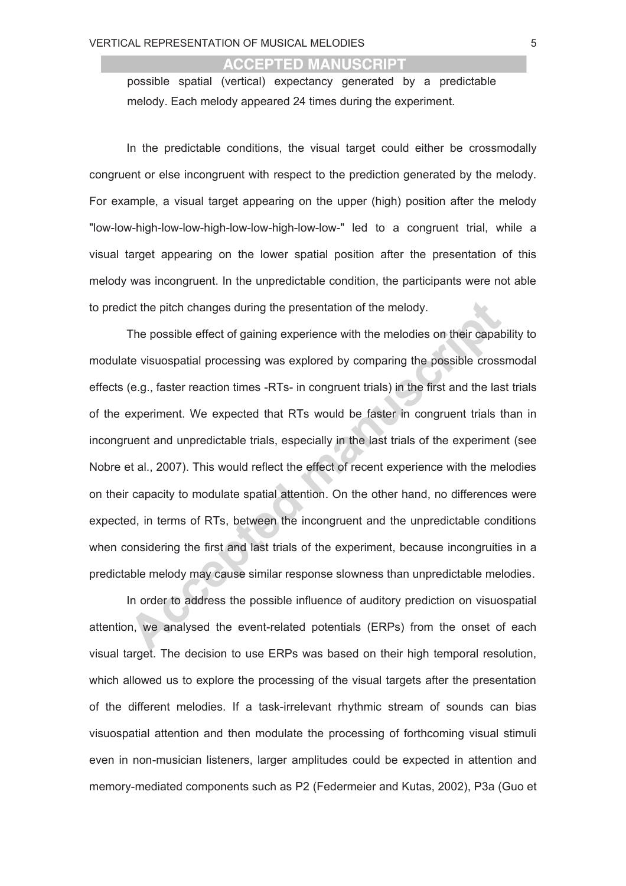possible spatial (vertical) expectancy generated by a predictable melody. Each melody appeared 24 times during the experiment.

In the predictable conditions, the visual target could either be crossmodally congruent or else incongruent with respect to the prediction generated by the melody. For example, a visual target appearing on the upper (high) position after the melody "low-low-high-low-low-high-low-low-high-low-low-" led to a congruent trial, while a visual target appearing on the lower spatial position after the presentation of this melody was incongruent. In the unpredictable condition, the participants were not able to predict the pitch changes during the presentation of the melody.

The possible effect of gaining experience with the melodies on their capability to modulate visuospatial processing was explored by comparing the possible crossmodal effects (e.g., faster reaction times -RTs- in congruent trials) in the first and the last trials of the experiment. We expected that RTs would be faster in congruent trials than in incongruent and unpredictable trials, especially in the last trials of the experiment (see Nobre et al., 2007). This would reflect the effect of recent experience with the melodies on their capacity to modulate spatial attention. On the other hand, no differences were expected, in terms of RTs, between the incongruent and the unpredictable conditions when considering the first and last trials of the experiment, because incongruities in a predictable melody may cause similar response slowness than unpredictable melodies.

In order to address the possible influence of auditory prediction on visuospatial attention, we analysed the event-related potentials (ERPs) from the onset of each visual target. The decision to use ERPs was based on their high temporal resolution, which allowed us to explore the processing of the visual targets after the presentation of the different melodies. If a task-irrelevant rhythmic stream of sounds can bias visuospatial attention and then modulate the processing of forthcoming visual stimuli even in non-musician listeners, larger amplitudes could be expected in attention and memory-mediated components such as P2 (Federmeier and Kutas, 2002), P3a (Guo et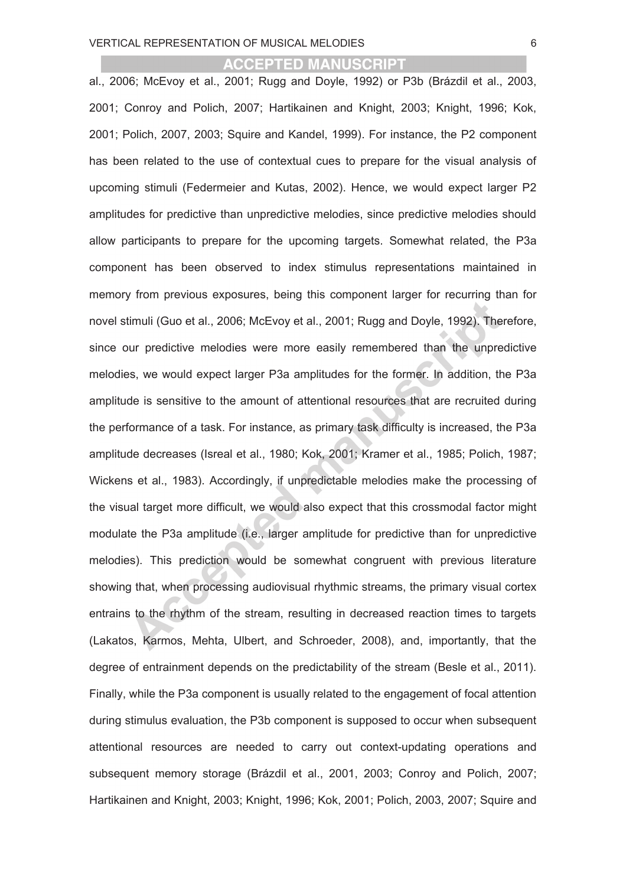al., 2006; McEvoy et al., 2001; Rugg and Doyle, 1992) or P3b (Brázdil et al., 2003, 2001; Conroy and Polich, 2007; Hartikainen and Knight, 2003; Knight, 1996; Kok, 2001; Polich, 2007, 2003; Squire and Kandel, 1999). For instance, the P2 component has been related to the use of contextual cues to prepare for the visual analysis of upcoming stimuli (Federmeier and Kutas, 2002). Hence, we would expect larger P2 amplitudes for predictive than unpredictive melodies, since predictive melodies should allow participants to prepare for the upcoming targets. Somewhat related, the P3a component has been observed to index stimulus representations maintained in memory from previous exposures, being this component larger for recurring than for novel stimuli (Guo et al., 2006; McEvoy et al., 2001; Rugg and Doyle, 1992). Therefore, since our predictive melodies were more easily remembered than the unpredictive melodies, we would expect larger P3a amplitudes for the former. In addition, the P3a amplitude is sensitive to the amount of attentional resources that are recruited during the performance of a task. For instance, as primary task difficulty is increased, the P3a amplitude decreases (Isreal et al., 1980; Kok, 2001; Kramer et al., 1985; Polich, 1987; Wickens et al., 1983). Accordingly, if unpredictable melodies make the processing of the visual target more difficult, we would also expect that this crossmodal factor might modulate the P3a amplitude (i.e., larger amplitude for predictive than for unpredictive melodies). This prediction would be somewhat congruent with previous literature showing that, when processing audiovisual rhythmic streams, the primary visual cortex entrains to the rhythm of the stream, resulting in decreased reaction times to targets (Lakatos, Karmos, Mehta, Ulbert, and Schroeder, 2008), and, importantly, that the degree of entrainment depends on the predictability of the stream (Besle et al., 2011). Finally, while the P3a component is usually related to the engagement of focal attention during stimulus evaluation, the P3b component is supposed to occur when subsequent attentional resources are needed to carry out context-updating operations and subsequent memory storage (Brázdil et al., 2001, 2003; Conroy and Polich, 2007; Hartikainen and Knight, 2003; Knight, 1996; Kok, 2001; Polich, 2003, 2007; Squire and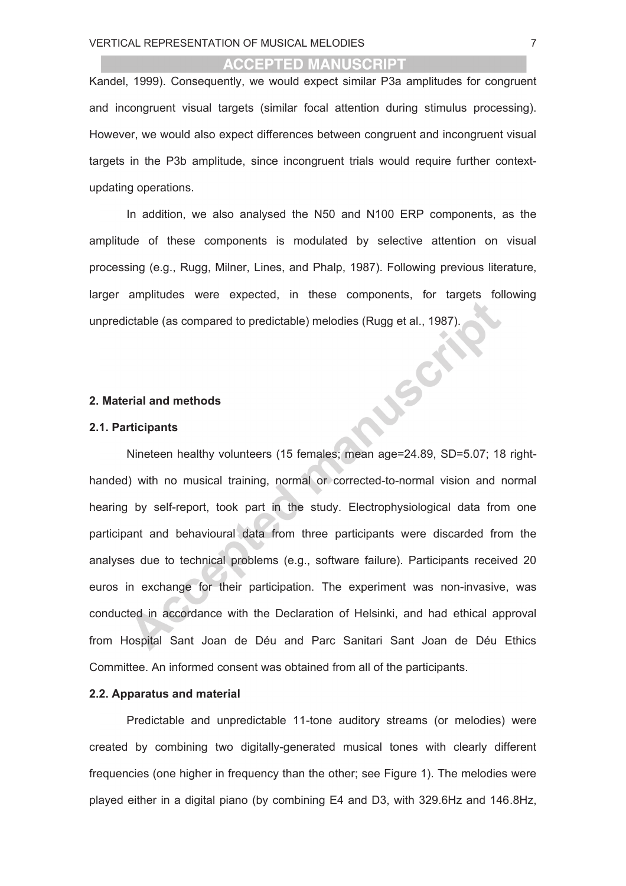Kandel, 1999). Consequently, we would expect similar P3a amplitudes for congruent and incongruent visual targets (similar focal attention during stimulus processing). However, we would also expect differences between congruent and incongruent visual targets in the P3b amplitude, since incongruent trials would require further contextupdating operations.

In addition, we also analysed the N50 and N100 ERP components, as the amplitude of these components is modulated by selective attention on visual processing (e.g., Rugg, Milner, Lines, and Phalp, 1987). Following previous literature, larger amplitudes were expected, in these components, for targets following unpredictable (as compared to predictable) melodies (Rugg et al., 1987).

JSCF

#### **2. Material and methods**

#### **2.1. Participants**

Nineteen healthy volunteers (15 females; mean age=24.89, SD=5.07; 18 righthanded) with no musical training, normal or corrected-to-normal vision and normal hearing by self-report, took part in the study. Electrophysiological data from one participant and behavioural data from three participants were discarded from the analyses due to technical problems (e.g., software failure). Participants received 20 euros in exchange for their participation. The experiment was non-invasive, was conducted in accordance with the Declaration of Helsinki, and had ethical approval from Hospital Sant Joan de Déu and Parc Sanitari Sant Joan de Déu Ethics Committee. An informed consent was obtained from all of the participants.

#### **2.2. Apparatus and material**

Predictable and unpredictable 11-tone auditory streams (or melodies) were created by combining two digitally-generated musical tones with clearly different frequencies (one higher in frequency than the other; see Figure 1). The melodies were played either in a digital piano (by combining E4 and D3, with 329.6Hz and 146.8Hz,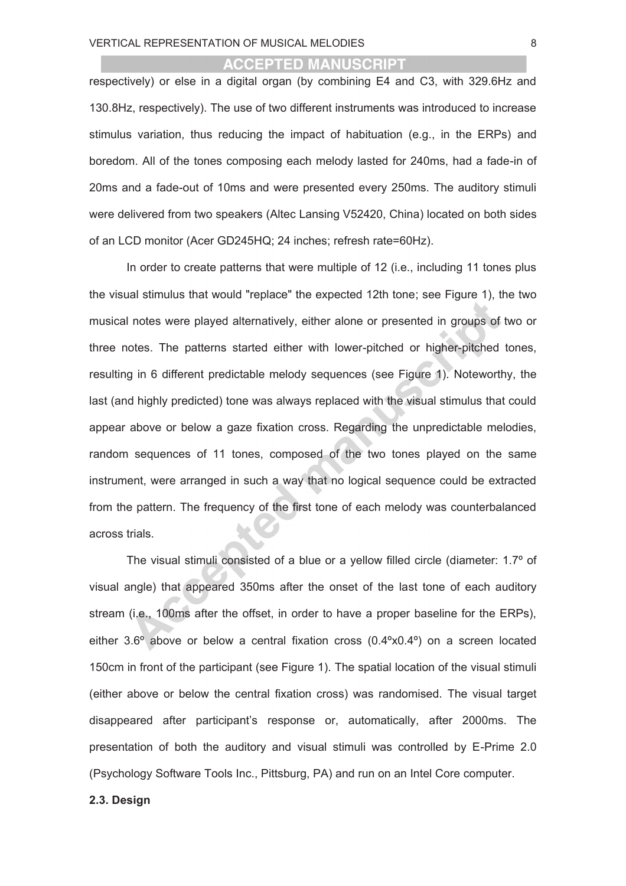respectively) or else in a digital organ (by combining E4 and C3, with 329.6Hz and 130.8Hz, respectively). The use of two different instruments was introduced to increase stimulus variation, thus reducing the impact of habituation (e.g., in the ERPs) and boredom. All of the tones composing each melody lasted for 240ms, had a fade-in of 20ms and a fade-out of 10ms and were presented every 250ms. The auditory stimuli were delivered from two speakers (Altec Lansing V52420, China) located on both sides of an LCD monitor (Acer GD245HQ; 24 inches; refresh rate=60Hz).

In order to create patterns that were multiple of 12 (i.e., including 11 tones plus the visual stimulus that would "replace" the expected 12th tone; see Figure 1), the two musical notes were played alternatively, either alone or presented in groups of two or three notes. The patterns started either with lower-pitched or higher-pitched tones, resulting in 6 different predictable melody sequences (see Figure 1). Noteworthy, the last (and highly predicted) tone was always replaced with the visual stimulus that could appear above or below a gaze fixation cross. Regarding the unpredictable melodies, random sequences of 11 tones, composed of the two tones played on the same instrument, were arranged in such a way that no logical sequence could be extracted from the pattern. The frequency of the first tone of each melody was counterbalanced across trials.

The visual stimuli consisted of a blue or a yellow filled circle (diameter: 1.7º of visual angle) that appeared 350ms after the onset of the last tone of each auditory stream (i.e., 100ms after the offset, in order to have a proper baseline for the ERPs), either 3.6 $\degree$  above or below a central fixation cross (0.4 $\degree$ x0.4 $\degree$ ) on a screen located 150cm in front of the participant (see Figure 1). The spatial location of the visual stimuli (either above or below the central fixation cross) was randomised. The visual target disappeared after participant's response or, automatically, after 2000ms. The presentation of both the auditory and visual stimuli was controlled by E-Prime 2.0 (Psychology Software Tools Inc., Pittsburg, PA) and run on an Intel Core computer.

# **2.3. Design**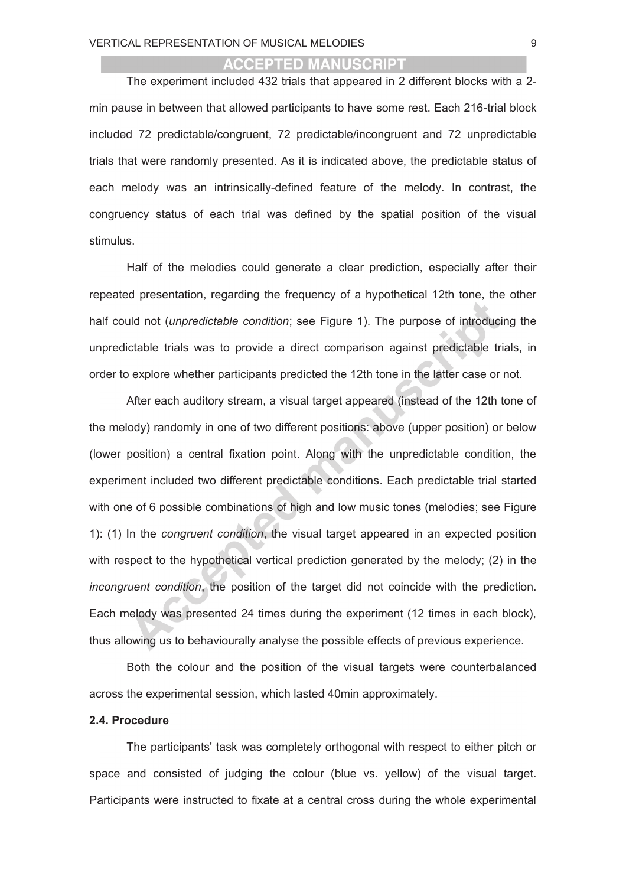The experiment included 432 trials that appeared in 2 different blocks with a 2 min pause in between that allowed participants to have some rest. Each 216-trial block included 72 predictable/congruent, 72 predictable/incongruent and 72 unpredictable trials that were randomly presented. As it is indicated above, the predictable status of each melody was an intrinsically-defined feature of the melody. In contrast, the congruency status of each trial was defined by the spatial position of the visual stimulus.

Half of the melodies could generate a clear prediction, especially after their repeated presentation, regarding the frequency of a hypothetical 12th tone, the other half could not (*unpredictable condition*; see Figure 1). The purpose of introducing the unpredictable trials was to provide a direct comparison against predictable trials, in order to explore whether participants predicted the 12th tone in the latter case or not.

After each auditory stream, a visual target appeared (instead of the 12th tone of the melody) randomly in one of two different positions: above (upper position) or below (lower position) a central fixation point. Along with the unpredictable condition, the experiment included two different predictable conditions*.* Each predictable trial started with one of 6 possible combinations of high and low music tones (melodies; see Figure 1): (1) In the *congruent condition*, the visual target appeared in an expected position with respect to the hypothetical vertical prediction generated by the melody; (2) in the *incongruent condition*, the position of the target did not coincide with the prediction. Each melody was presented 24 times during the experiment (12 times in each block), thus allowing us to behaviourally analyse the possible effects of previous experience.

Both the colour and the position of the visual targets were counterbalanced across the experimental session, which lasted 40min approximately.

#### **2.4. Procedure**

The participants' task was completely orthogonal with respect to either pitch or space and consisted of judging the colour (blue vs. yellow) of the visual target. Participants were instructed to fixate at a central cross during the whole experimental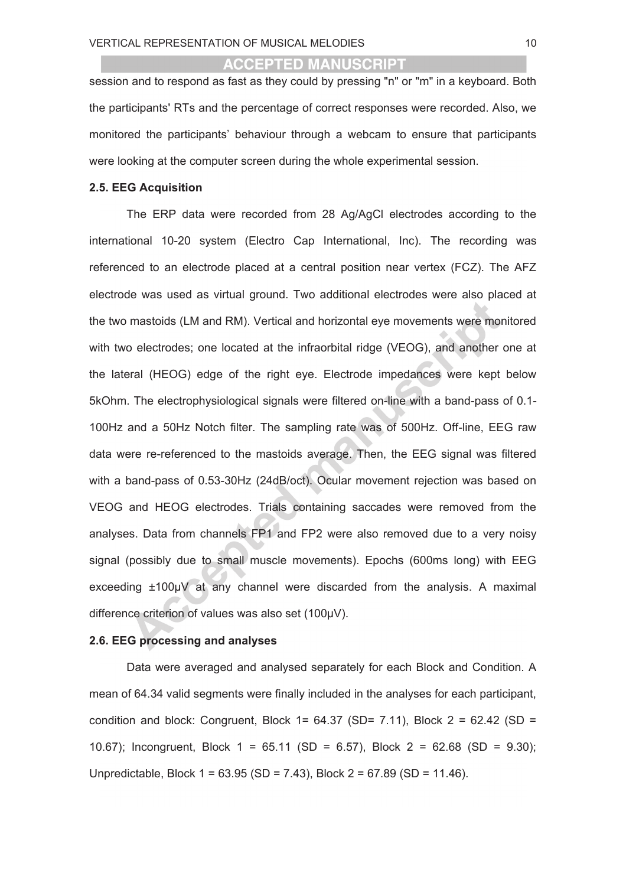session and to respond as fast as they could by pressing "n" or "m" in a keyboard. Both the participants' RTs and the percentage of correct responses were recorded. Also, we monitored the participants' behaviour through a webcam to ensure that participants were looking at the computer screen during the whole experimental session.

#### **2.5. EEG Acquisition**

The ERP data were recorded from 28 Ag/AgCl electrodes according to the international 10-20 system (Electro Cap International, Inc). The recording was referenced to an electrode placed at a central position near vertex (FCZ). The AFZ electrode was used as virtual ground. Two additional electrodes were also placed at the two mastoids (LM and RM). Vertical and horizontal eye movements were monitored with two electrodes; one located at the infraorbital ridge (VEOG), and another one at the lateral (HEOG) edge of the right eye. Electrode impedances were kept below 5kOhm. The electrophysiological signals were filtered on-line with a band-pass of 0.1- 100Hz and a 50Hz Notch filter. The sampling rate was of 500Hz. Off-line, EEG raw data were re-referenced to the mastoids average. Then, the EEG signal was filtered with a band-pass of 0.53-30Hz (24dB/oct). Ocular movement rejection was based on VEOG and HEOG electrodes. Trials containing saccades were removed from the analyses. Data from channels FP1 and FP2 were also removed due to a very noisy signal (possibly due to small muscle movements). Epochs (600ms long) with EEG exceeding ±100µV at any channel were discarded from the analysis. A maximal difference criterion of values was also set (100µV).

# **2.6. EEG processing and analyses**

Data were averaged and analysed separately for each Block and Condition. A mean of 64.34 valid segments were finally included in the analyses for each participant, condition and block: Congruent, Block  $1 = 64.37$  (SD=  $7.11$ ), Block  $2 = 62.42$  (SD = 10.67); Incongruent, Block 1 = 65.11 (SD = 6.57), Block 2 = 62.68 (SD = 9.30); Unpredictable, Block 1 = 63.95 (SD = 7.43), Block 2 = 67.89 (SD = 11.46).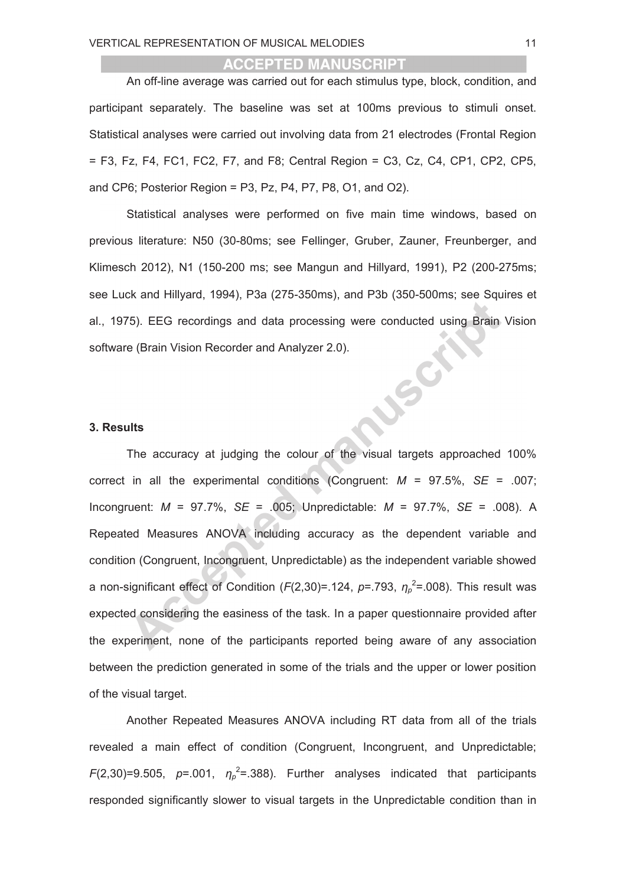An off-line average was carried out for each stimulus type, block, condition, and participant separately. The baseline was set at 100ms previous to stimuli onset. Statistical analyses were carried out involving data from 21 electrodes (Frontal Region  $=$  F3, Fz, F4, FC1, FC2, F7, and F8; Central Region  $=$  C3, Cz, C4, CP1, CP2, CP5, and CP6; Posterior Region = P3, Pz, P4, P7, P8, O1, and O2).

Statistical analyses were performed on five main time windows, based on previous literature: N50 (30-80ms; see Fellinger, Gruber, Zauner, Freunberger, and Klimesch 2012), N1 (150-200 ms; see Mangun and Hillyard, 1991), P2 (200-275ms; see Luck and Hillyard, 1994), P3a (275-350ms), and P3b (350-500ms; see Squires et al., 1975). EEG recordings and data processing were conducted using Brain Vision LEGIS software (Brain Vision Recorder and Analyzer 2.0).

#### **3. Results**

The accuracy at judging the colour of the visual targets approached 100% correct in all the experimental conditions (Congruent: *M* = 97.5%, *SE* = .007; Incongruent: *M* = 97.7%, *SE* = .005; Unpredictable: *M* = 97.7%, *SE* = .008). A Repeated Measures ANOVA including accuracy as the dependent variable and condition (Congruent, Incongruent, Unpredictable) as the independent variable showed a non-significant effect of Condition (*F*(2,30)=.124, *p*=.793,  $η<sub>p</sub><sup>2</sup> = .008$ ). This result was expected considering the easiness of the task. In a paper questionnaire provided after the experiment, none of the participants reported being aware of any association between the prediction generated in some of the trials and the upper or lower position of the visual target.

Another Repeated Measures ANOVA including RT data from all of the trials revealed a main effect of condition (Congruent, Incongruent, and Unpredictable;  $F(2,30)=9.505$ ,  $p=.001$ ,  $\eta_p^2=.388$ ). Further analyses indicated that participants responded significantly slower to visual targets in the Unpredictable condition than in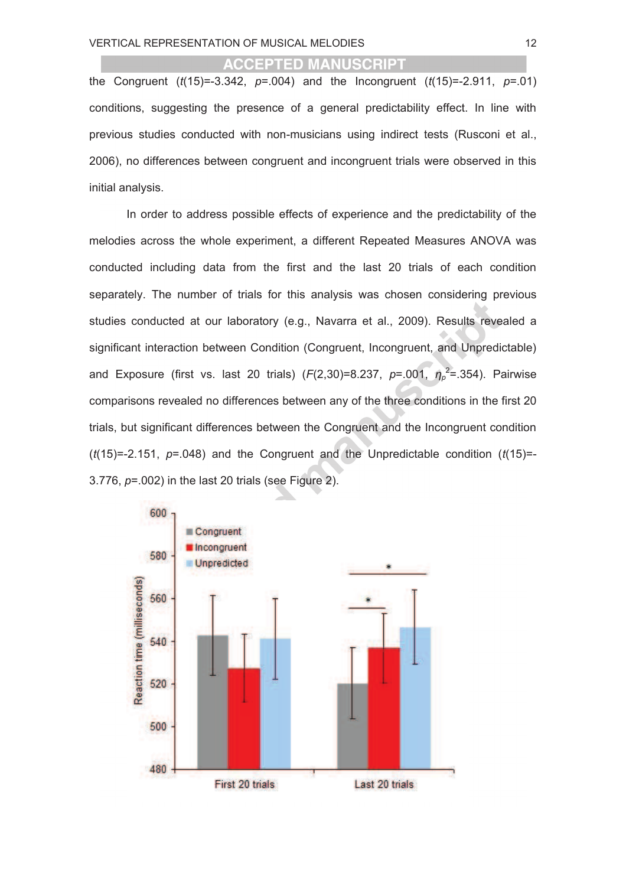the Congruent (*t*(15)=-3.342, *p*=.004) and the Incongruent (*t*(15)=-2.911, *p*=.01) conditions, suggesting the presence of a general predictability effect. In line with previous studies conducted with non-musicians using indirect tests (Rusconi et al., 2006), no differences between congruent and incongruent trials were observed in this initial analysis.

In order to address possible effects of experience and the predictability of the melodies across the whole experiment, a different Repeated Measures ANOVA was conducted including data from the first and the last 20 trials of each condition separately. The number of trials for this analysis was chosen considering previous studies conducted at our laboratory (e.g., Navarra et al., 2009). Results revealed a significant interaction between Condition (Congruent, Incongruent, and Unpredictable) and Exposure (first vs. last 20 trials) (*F*(2,30)=8.237, *p*=.001, *η<sub>p</sub>*<sup>2</sup>=.354). Pairwise comparisons revealed no differences between any of the three conditions in the first 20 trials, but significant differences between the Congruent and the Incongruent condition (*t*(15)=-2.151, *p*=.048) and the Congruent and the Unpredictable condition (*t*(15)=- 3.776, *p*=.002) in the last 20 trials (see Figure 2).

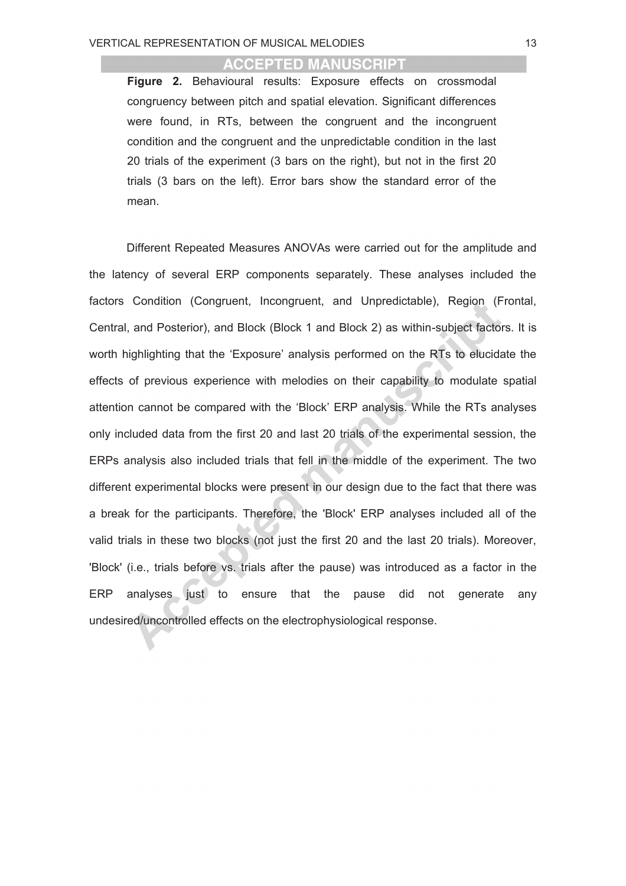**Figure 2.** Behavioural results: Exposure effects on crossmodal congruency between pitch and spatial elevation. Significant differences were found, in RTs, between the congruent and the incongruent condition and the congruent and the unpredictable condition in the last 20 trials of the experiment (3 bars on the right), but not in the first 20 trials (3 bars on the left). Error bars show the standard error of the mean.

Different Repeated Measures ANOVAs were carried out for the amplitude and the latency of several ERP components separately. These analyses included the factors Condition (Congruent, Incongruent, and Unpredictable), Region (Frontal, Central, and Posterior), and Block (Block 1 and Block 2) as within-subject factors. It is worth highlighting that the 'Exposure' analysis performed on the RTs to elucidate the effects of previous experience with melodies on their capability to modulate spatial attention cannot be compared with the 'Block' ERP analysis. While the RTs analyses only included data from the first 20 and last 20 trials of the experimental session, the ERPs analysis also included trials that fell in the middle of the experiment. The two different experimental blocks were present in our design due to the fact that there was a break for the participants. Therefore, the 'Block' ERP analyses included all of the valid trials in these two blocks (not just the first 20 and the last 20 trials). Moreover, 'Block' (i.e., trials before vs. trials after the pause) was introduced as a factor in the ERP analyses just to ensure that the pause did not generate any undesired/uncontrolled effects on the electrophysiological response.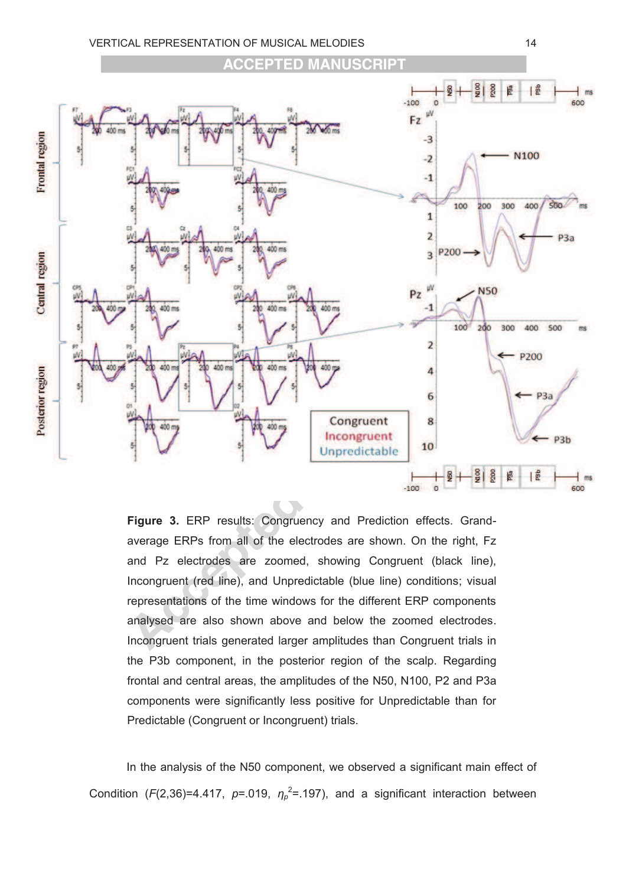

**Figure 3.** ERP results: Congruency and Prediction effects. Grandaverage ERPs from all of the electrodes are shown. On the right, Fz and Pz electrodes are zoomed, showing Congruent (black line), Incongruent (red line), and Unpredictable (blue line) conditions; visual representations of the time windows for the different ERP components analysed are also shown above and below the zoomed electrodes. Incongruent trials generated larger amplitudes than Congruent trials in the P3b component, in the posterior region of the scalp. Regarding frontal and central areas, the amplitudes of the N50, N100, P2 and P3a components were significantly less positive for Unpredictable than for Predictable (Congruent or Incongruent) trials.

In the analysis of the N50 component, we observed a significant main effect of Condition ( $F(2,36)$ =4.417,  $p=0.019$ ,  $\eta_p^2$ =.197), and a significant interaction between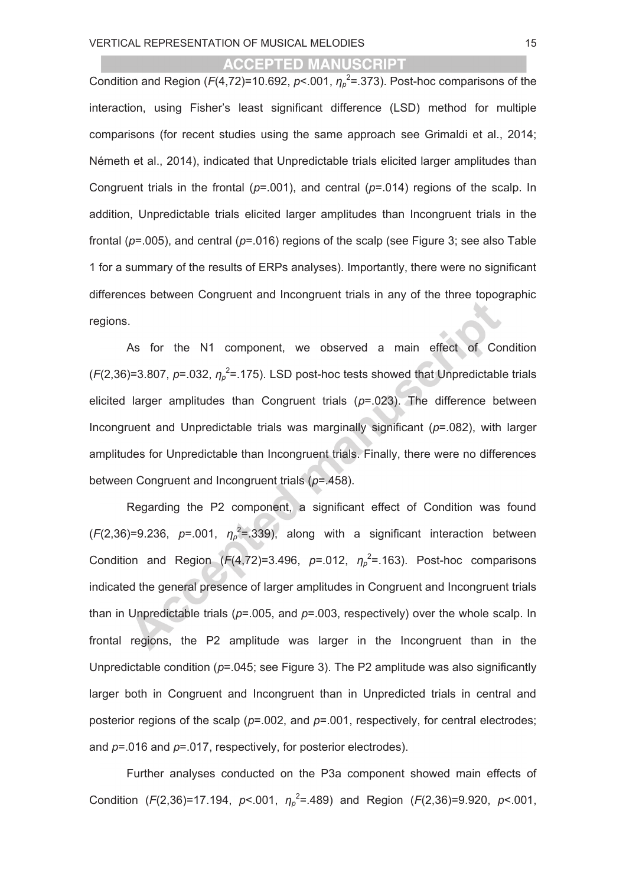Condition and Region ( $F(4,72)$ =10.692,  $p< .001$ ,  $\eta_p^2$ =.373). Post-hoc comparisons of the interaction, using Fisher's least significant difference (LSD) method for multiple comparisons (for recent studies using the same approach see Grimaldi et al., 2014; Németh et al., 2014), indicated that Unpredictable trials elicited larger amplitudes than Congruent trials in the frontal (*p*=.001), and central (*p*=.014) regions of the scalp. In addition, Unpredictable trials elicited larger amplitudes than Incongruent trials in the frontal (*p*=.005), and central (*p*=.016) regions of the scalp (see Figure 3; see also Table 1 for a summary of the results of ERPs analyses). Importantly, there were no significant differences between Congruent and Incongruent trials in any of the three topographic regions.

As for the N1 component, we observed a main effect of Condition  $(F(2,36)=3.807, p=.032, \eta_p^2=.175)$ . LSD post-hoc tests showed that Unpredictable trials elicited larger amplitudes than Congruent trials (*p*=.023). The difference between Incongruent and Unpredictable trials was marginally significant (*p*=.082), with larger amplitudes for Unpredictable than Incongruent trials. Finally, there were no differences between Congruent and Incongruent trials (*p*=.458).

Regarding the P2 component, a significant effect of Condition was found  $(F(2,36)=9.236, p=.001, \eta_p^2=.339)$ , along with a significant interaction between Condition and Region  $(F(4,72)=3.496, p=.012, \eta_p^2=.163)$ . Post-hoc comparisons indicated the general presence of larger amplitudes in Congruent and Incongruent trials than in Unpredictable trials (*p*=.005, and *p*=.003, respectively) over the whole scalp. In frontal regions, the P2 amplitude was larger in the Incongruent than in the Unpredictable condition (*p*=.045; see Figure 3). The P2 amplitude was also significantly larger both in Congruent and Incongruent than in Unpredicted trials in central and posterior regions of the scalp (*p*=.002, and *p*=.001, respectively, for central electrodes; and *p*=.016 and *p*=.017, respectively, for posterior electrodes).

Further analyses conducted on the P3a component showed main effects of Condition (*F*(2,36)=17.194, *p*<.001, *η<sup>p</sup>* 2 =.489) and Region (*F*(2,36)=9.920, *p*<.001,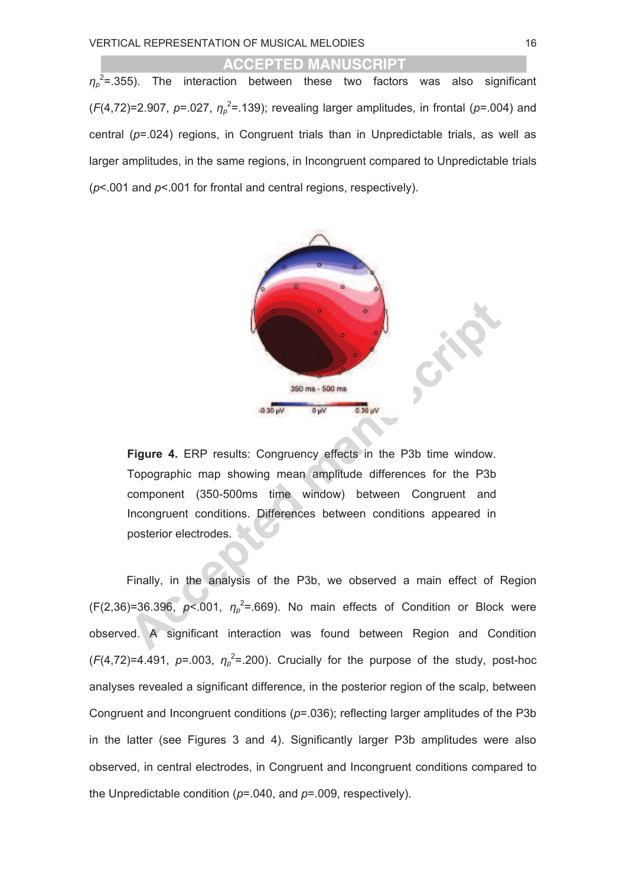*ηp* 2 =.355). The interaction between these two factors was also significant  $(F(4,72)=2.907, p=.027, \eta_p^2=.139)$ ; revealing larger amplitudes, in frontal ( $p=.004$ ) and central (*p*=.024) regions, in Congruent trials than in Unpredictable trials, as well as larger amplitudes, in the same regions, in Incongruent compared to Unpredictable trials (*p*<.001 and *p*<.001 for frontal and central regions, respectively).



**Figure 4.** ERP results: Congruency effects in the P3b time window. Topographic map showing mean amplitude differences for the P3b component (350-500ms time window) between Congruent and Incongruent conditions. Differences between conditions appeared in posterior electrodes.

Finally, in the analysis of the P3b, we observed a main effect of Region  $(F(2, 36)=36.396$ ,  $p<.001$ ,  $\eta_p^2 = .669$ ). No main effects of Condition or Block were observed. A significant interaction was found between Region and Condition  $(F(4,72)=4.491, p=.003, \eta_p^2=.200)$ . Crucially for the purpose of the study, post-hoc analyses revealed a significant difference, in the posterior region of the scalp, between Congruent and Incongruent conditions (*p*=.036); reflecting larger amplitudes of the P3b in the latter (see Figures 3 and 4). Significantly larger P3b amplitudes were also observed, in central electrodes, in Congruent and Incongruent conditions compared to the Unpredictable condition (*p*=.040, and *p*=.009, respectively).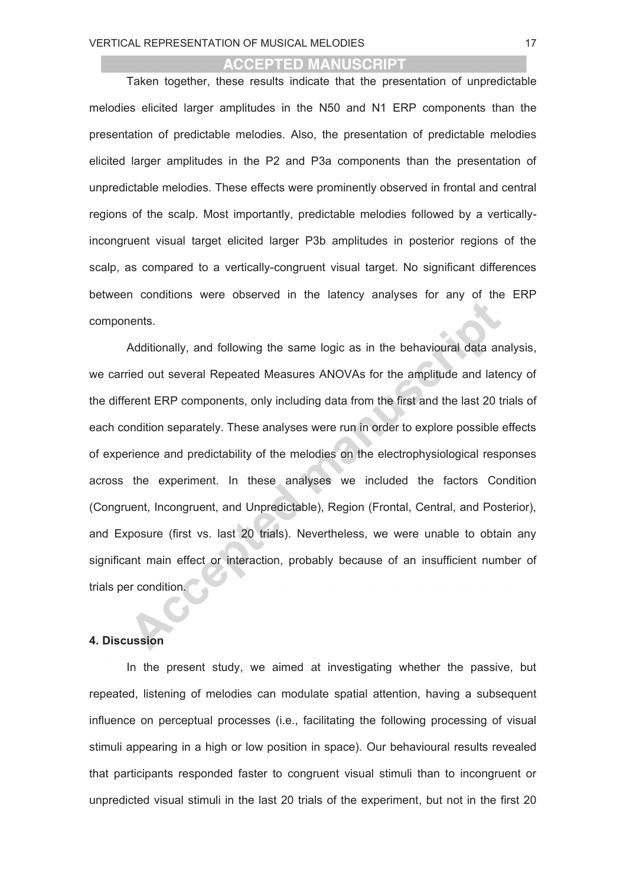Taken together, these results indicate that the presentation of unpredictable melodies elicited larger amplitudes in the N50 and N1 ERP components than the presentation of predictable melodies. Also, the presentation of predictable melodies elicited larger amplitudes in the P2 and P3a components than the presentation of unpredictable melodies. These effects were prominently observed in frontal and central regions of the scalp. Most importantly, predictable melodies followed by a verticallyincongruent visual target elicited larger P3b amplitudes in posterior regions of the scalp, as compared to a vertically-congruent visual target. No significant differences between conditions were observed in the latency analyses for any of the ERP components.

Additionally, and following the same logic as in the behavioural data analysis, we carried out several Repeated Measures ANOVAs for the amplitude and latency of the different ERP components, only including data from the first and the last 20 trials of each condition separately. These analyses were run in order to explore possible effects of experience and predictability of the melodies on the electrophysiological responses across the experiment. In these analyses we included the factors Condition (Congruent, Incongruent, and Unpredictable), Region (Frontal, Central, and Posterior), and Exposure (first vs. last 20 trials). Nevertheless, we were unable to obtain any significant main effect or interaction, probably because of an insufficient number of trials per condition.

#### **4. Discussion**

In the present study, we aimed at investigating whether the passive, but repeated, listening of melodies can modulate spatial attention, having a subsequent influence on perceptual processes (i.e., facilitating the following processing of visual stimuli appearing in a high or low position in space). Our behavioural results revealed that participants responded faster to congruent visual stimuli than to incongruent or unpredicted visual stimuli in the last 20 trials of the experiment, but not in the first 20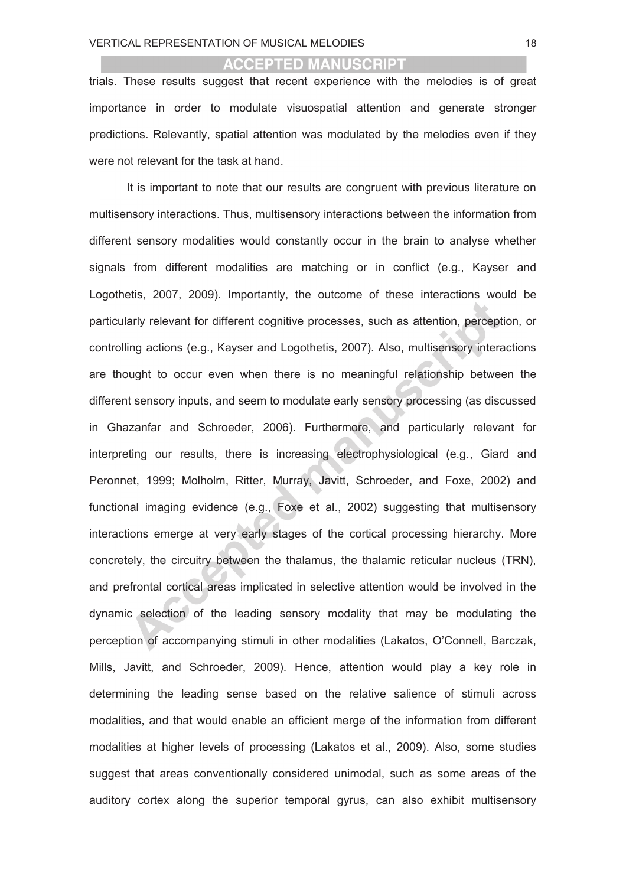trials. These results suggest that recent experience with the melodies is of great importance in order to modulate visuospatial attention and generate stronger predictions. Relevantly, spatial attention was modulated by the melodies even if they were not relevant for the task at hand.

It is important to note that our results are congruent with previous literature on multisensory interactions. Thus, multisensory interactions between the information from different sensory modalities would constantly occur in the brain to analyse whether signals from different modalities are matching or in conflict (e.g., Kayser and Logothetis, 2007, 2009). Importantly, the outcome of these interactions would be particularly relevant for different cognitive processes, such as attention, perception, or controlling actions (e.g., Kayser and Logothetis, 2007). Also, multisensory interactions are thought to occur even when there is no meaningful relationship between the different sensory inputs, and seem to modulate early sensory processing (as discussed in Ghazanfar and Schroeder, 2006). Furthermore, and particularly relevant for interpreting our results, there is increasing electrophysiological (e.g., Giard and Peronnet, 1999; Molholm, Ritter, Murray, Javitt, Schroeder, and Foxe, 2002) and functional imaging evidence (e.g., Foxe et al., 2002) suggesting that multisensory interactions emerge at very early stages of the cortical processing hierarchy. More concretely, the circuitry between the thalamus, the thalamic reticular nucleus (TRN), and prefrontal cortical areas implicated in selective attention would be involved in the dynamic selection of the leading sensory modality that may be modulating the perception of accompanying stimuli in other modalities (Lakatos, O'Connell, Barczak, Mills, Javitt, and Schroeder, 2009). Hence, attention would play a key role in determining the leading sense based on the relative salience of stimuli across modalities, and that would enable an efficient merge of the information from different modalities at higher levels of processing (Lakatos et al., 2009). Also, some studies suggest that areas conventionally considered unimodal, such as some areas of the auditory cortex along the superior temporal gyrus, can also exhibit multisensory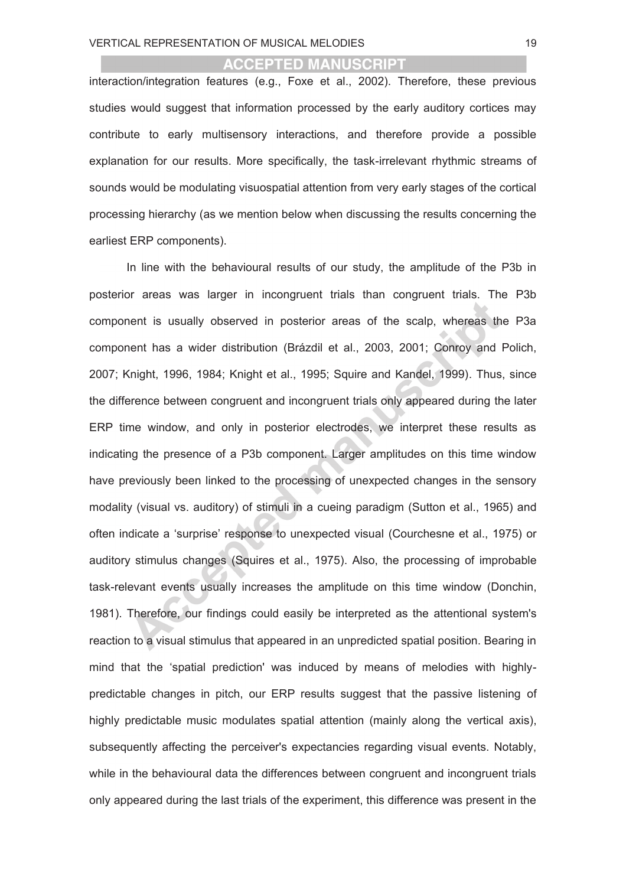interaction/integration features (e.g., Foxe et al., 2002). Therefore, these previous studies would suggest that information processed by the early auditory cortices may contribute to early multisensory interactions, and therefore provide a possible explanation for our results. More specifically, the task-irrelevant rhythmic streams of sounds would be modulating visuospatial attention from very early stages of the cortical processing hierarchy (as we mention below when discussing the results concerning the earliest ERP components).

In line with the behavioural results of our study, the amplitude of the P3b in posterior areas was larger in incongruent trials than congruent trials. The P3b component is usually observed in posterior areas of the scalp, whereas the P3a component has a wider distribution (Brázdil et al., 2003, 2001; Conroy and Polich, 2007; Knight, 1996, 1984; Knight et al., 1995; Squire and Kandel, 1999). Thus, since the difference between congruent and incongruent trials only appeared during the later ERP time window, and only in posterior electrodes, we interpret these results as indicating the presence of a P3b component. Larger amplitudes on this time window have previously been linked to the processing of unexpected changes in the sensory modality (visual vs. auditory) of stimuli in a cueing paradigm (Sutton et al., 1965) and often indicate a 'surprise' response to unexpected visual (Courchesne et al., 1975) or auditory stimulus changes (Squires et al., 1975). Also, the processing of improbable task-relevant events usually increases the amplitude on this time window (Donchin, 1981). Therefore, our findings could easily be interpreted as the attentional system's reaction to a visual stimulus that appeared in an unpredicted spatial position. Bearing in mind that the 'spatial prediction' was induced by means of melodies with highlypredictable changes in pitch, our ERP results suggest that the passive listening of highly predictable music modulates spatial attention (mainly along the vertical axis), subsequently affecting the perceiver's expectancies regarding visual events. Notably, while in the behavioural data the differences between congruent and incongruent trials only appeared during the last trials of the experiment, this difference was present in the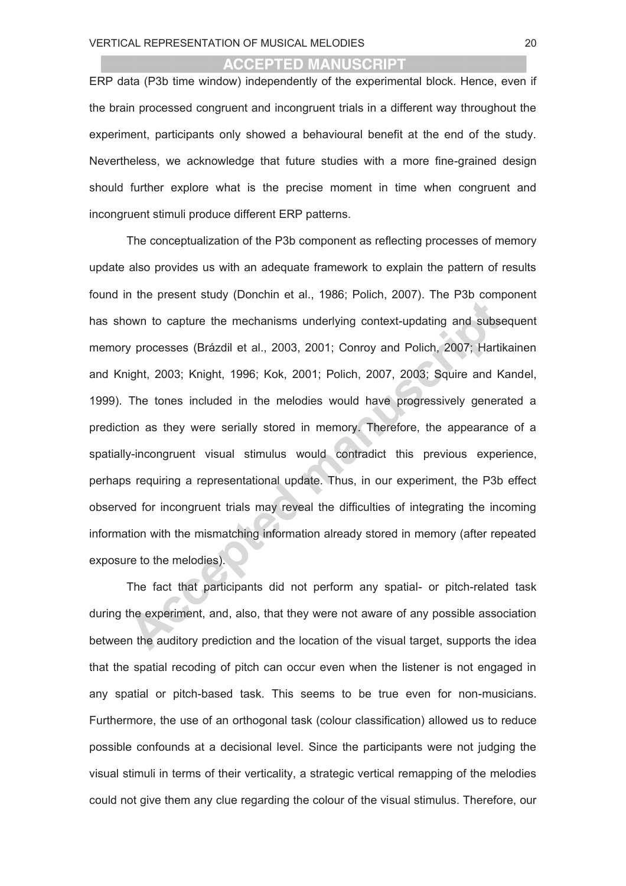ERP data (P3b time window) independently of the experimental block. Hence, even if the brain processed congruent and incongruent trials in a different way throughout the experiment, participants only showed a behavioural benefit at the end of the study. Nevertheless, we acknowledge that future studies with a more fine-grained design should further explore what is the precise moment in time when congruent and incongruent stimuli produce different ERP patterns.

The conceptualization of the P3b component as reflecting processes of memory update also provides us with an adequate framework to explain the pattern of results found in the present study (Donchin et al., 1986; Polich, 2007). The P3b component has shown to capture the mechanisms underlying context-updating and subsequent memory processes (Brázdil et al., 2003, 2001; Conroy and Polich, 2007; Hartikainen and Knight, 2003; Knight, 1996; Kok, 2001; Polich, 2007, 2003; Squire and Kandel, 1999). The tones included in the melodies would have progressively generated a prediction as they were serially stored in memory. Therefore, the appearance of a spatially-incongruent visual stimulus would contradict this previous experience, perhaps requiring a representational update. Thus, in our experiment, the P3b effect observed for incongruent trials may reveal the difficulties of integrating the incoming information with the mismatching information already stored in memory (after repeated exposure to the melodies).

The fact that participants did not perform any spatial- or pitch-related task during the experiment, and, also, that they were not aware of any possible association between the auditory prediction and the location of the visual target, supports the idea that the spatial recoding of pitch can occur even when the listener is not engaged in any spatial or pitch-based task. This seems to be true even for non-musicians. Furthermore, the use of an orthogonal task (colour classification) allowed us to reduce possible confounds at a decisional level. Since the participants were not judging the visual stimuli in terms of their verticality, a strategic vertical remapping of the melodies could not give them any clue regarding the colour of the visual stimulus. Therefore, our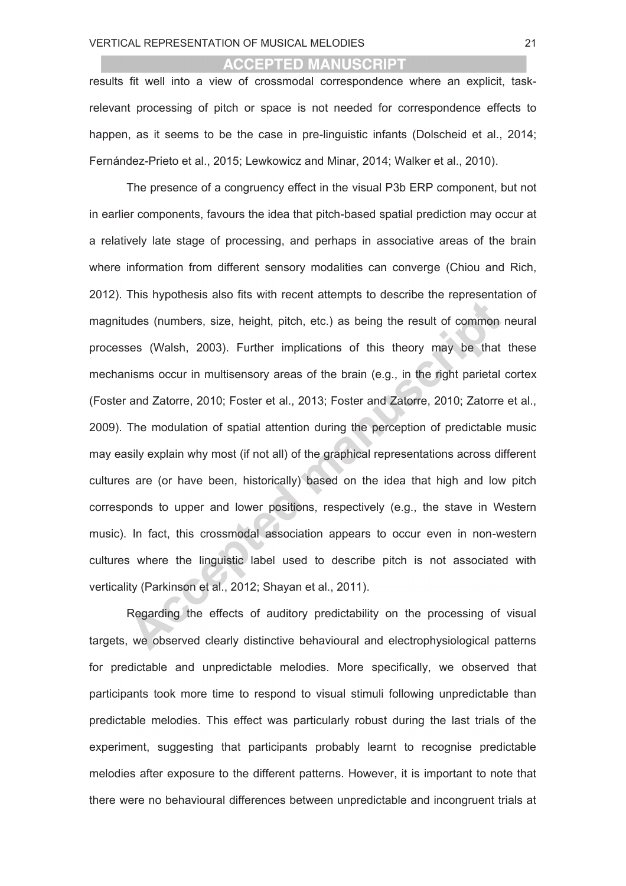results fit well into a view of crossmodal correspondence where an explicit, taskrelevant processing of pitch or space is not needed for correspondence effects to happen, as it seems to be the case in pre-linguistic infants (Dolscheid et al., 2014; Fernández-Prieto et al., 2015; Lewkowicz and Minar, 2014; Walker et al., 2010).

The presence of a congruency effect in the visual P3b ERP component, but not in earlier components, favours the idea that pitch-based spatial prediction may occur at a relatively late stage of processing, and perhaps in associative areas of the brain where information from different sensory modalities can converge (Chiou and Rich, 2012). This hypothesis also fits with recent attempts to describe the representation of magnitudes (numbers, size, height, pitch, etc.) as being the result of common neural processes (Walsh, 2003). Further implications of this theory may be that these mechanisms occur in multisensory areas of the brain (e.g., in the right parietal cortex (Foster and Zatorre, 2010; Foster et al., 2013; Foster and Zatorre, 2010; Zatorre et al., 2009). The modulation of spatial attention during the perception of predictable music may easily explain why most (if not all) of the graphical representations across different cultures are (or have been, historically) based on the idea that high and low pitch corresponds to upper and lower positions, respectively (e.g., the stave in Western music). In fact, this crossmodal association appears to occur even in non-western cultures where the linguistic label used to describe pitch is not associated with verticality (Parkinson et al., 2012; Shayan et al., 2011).

Regarding the effects of auditory predictability on the processing of visual targets, we observed clearly distinctive behavioural and electrophysiological patterns for predictable and unpredictable melodies. More specifically, we observed that participants took more time to respond to visual stimuli following unpredictable than predictable melodies. This effect was particularly robust during the last trials of the experiment, suggesting that participants probably learnt to recognise predictable melodies after exposure to the different patterns. However, it is important to note that there were no behavioural differences between unpredictable and incongruent trials at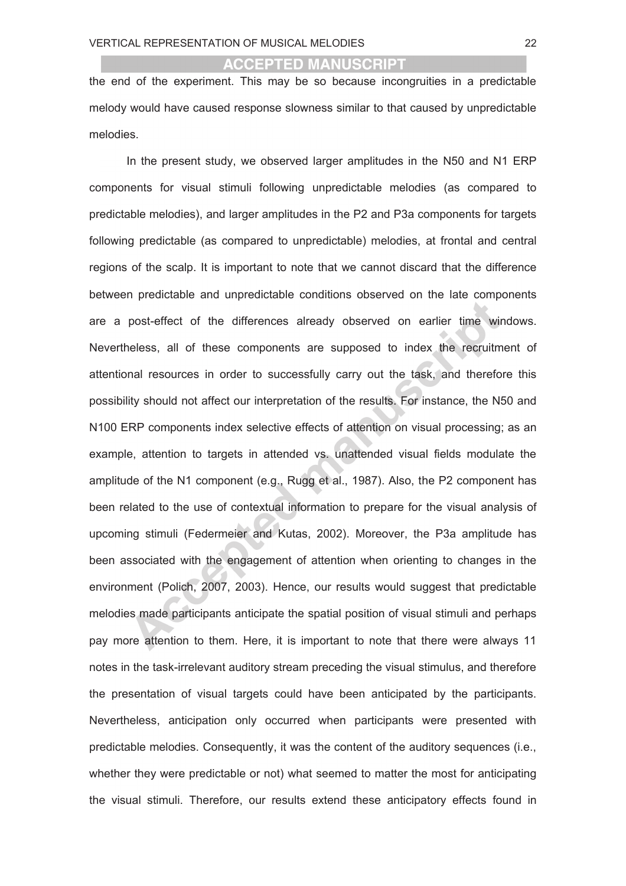the end of the experiment. This may be so because incongruities in a predictable melody would have caused response slowness similar to that caused by unpredictable melodies.

In the present study, we observed larger amplitudes in the N50 and N1 ERP components for visual stimuli following unpredictable melodies (as compared to predictable melodies), and larger amplitudes in the P2 and P3a components for targets following predictable (as compared to unpredictable) melodies, at frontal and central regions of the scalp. It is important to note that we cannot discard that the difference between predictable and unpredictable conditions observed on the late components are a post-effect of the differences already observed on earlier time windows. Nevertheless, all of these components are supposed to index the recruitment of attentional resources in order to successfully carry out the task, and therefore this possibility should not affect our interpretation of the results. For instance, the N50 and N100 ERP components index selective effects of attention on visual processing; as an example, attention to targets in attended vs. unattended visual fields modulate the amplitude of the N1 component (e.g., Rugg et al., 1987). Also, the P2 component has been related to the use of contextual information to prepare for the visual analysis of upcoming stimuli (Federmeier and Kutas, 2002). Moreover, the P3a amplitude has been associated with the engagement of attention when orienting to changes in the environment (Polich, 2007, 2003). Hence, our results would suggest that predictable melodies made participants anticipate the spatial position of visual stimuli and perhaps pay more attention to them. Here, it is important to note that there were always 11 notes in the task-irrelevant auditory stream preceding the visual stimulus, and therefore the presentation of visual targets could have been anticipated by the participants. Nevertheless, anticipation only occurred when participants were presented with predictable melodies. Consequently, it was the content of the auditory sequences (i.e., whether they were predictable or not) what seemed to matter the most for anticipating the visual stimuli. Therefore, our results extend these anticipatory effects found in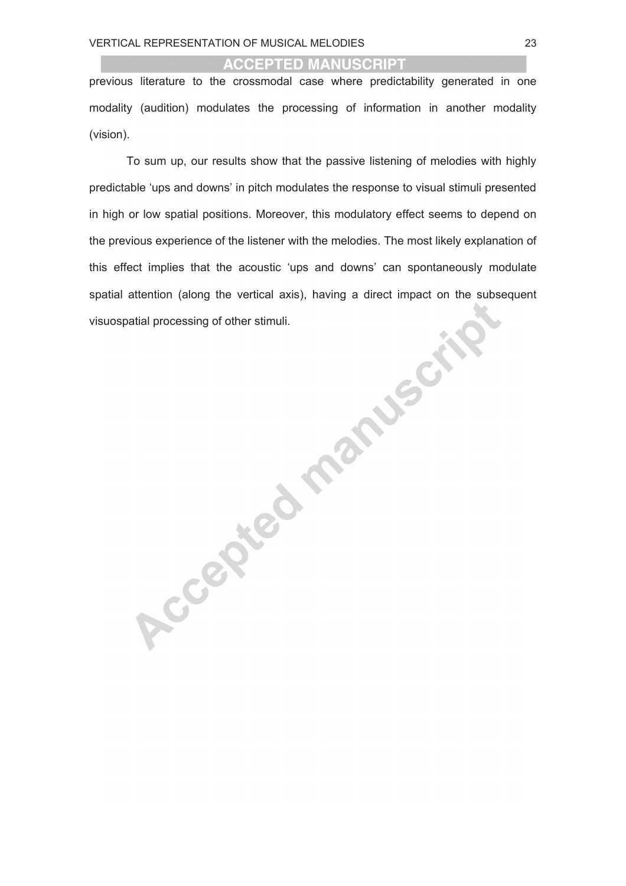previous literature to the crossmodal case where predictability generated in one modality (audition) modulates the processing of information in another modality (vision).

To sum up, our results show that the passive listening of melodies with highly predictable 'ups and downs' in pitch modulates the response to visual stimuli presented in high or low spatial positions. Moreover, this modulatory effect seems to depend on the previous experience of the listener with the melodies. The most likely explanation of this effect implies that the acoustic 'ups and downs' can spontaneously modulate spatial attention (along the vertical axis), having a direct impact on the subsequent visuospatial processing of other stimuli.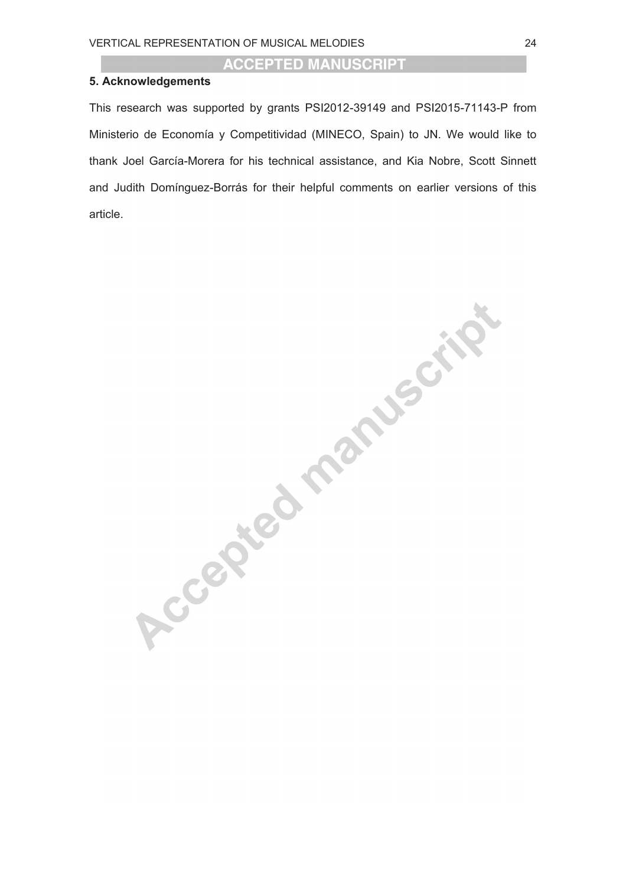#### **5. Acknowledgements**

This research was supported by grants PSI2012-39149 and PSI2015-71143-P from Ministerio de Economía y Competitividad (MINECO, Spain) to JN. We would like to thank Joel García-Morera for his technical assistance, and Kia Nobre, Scott Sinnett and Judith Domínguez-Borrás for their helpful comments on earlier versions of this article.

Accepted manuscript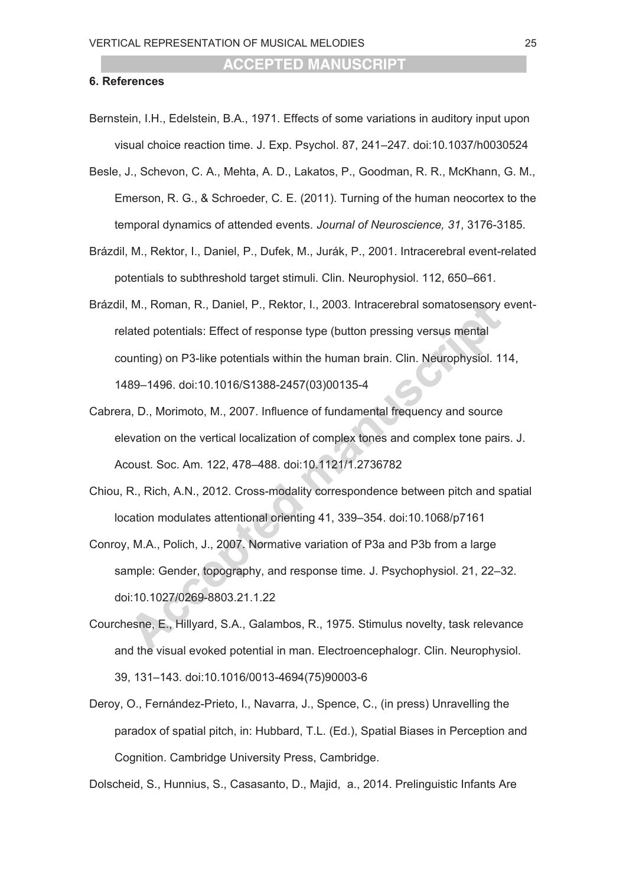#### **6. References**

- Bernstein, I.H., Edelstein, B.A., 1971. Effects of some variations in auditory input upon visual choice reaction time. J. Exp. Psychol. 87, 241–247. doi:10.1037/h0030524
- Besle, J., Schevon, C. A., Mehta, A. D., Lakatos, P., Goodman, R. R., McKhann, G. M., Emerson, R. G., & Schroeder, C. E. (2011). Turning of the human neocortex to the temporal dynamics of attended events. *Journal of Neuroscience, 31*, 3176-3185.
- Brázdil, M., Rektor, I., Daniel, P., Dufek, M., Jurák, P., 2001. Intracerebral event-related potentials to subthreshold target stimuli. Clin. Neurophysiol. 112, 650–661.
- Brázdil, M., Roman, R., Daniel, P., Rektor, I., 2003. Intracerebral somatosensory eventrelated potentials: Effect of response type (button pressing versus mental counting) on P3-like potentials within the human brain. Clin. Neurophysiol. 114, 1489–1496. doi:10.1016/S1388-2457(03)00135-4
- Cabrera, D., Morimoto, M., 2007. Influence of fundamental frequency and source elevation on the vertical localization of complex tones and complex tone pairs. J. Acoust. Soc. Am. 122, 478–488. doi:10.1121/1.2736782
- Chiou, R., Rich, A.N., 2012. Cross-modality correspondence between pitch and spatial location modulates attentional orienting 41, 339–354. doi:10.1068/p7161
- Conroy, M.A., Polich, J., 2007. Normative variation of P3a and P3b from a large sample: Gender, topography, and response time. J. Psychophysiol. 21, 22–32. doi:10.1027/0269-8803.21.1.22
- Courchesne, E., Hillyard, S.A., Galambos, R., 1975. Stimulus novelty, task relevance and the visual evoked potential in man. Electroencephalogr. Clin. Neurophysiol. 39, 131–143. doi:10.1016/0013-4694(75)90003-6
- Deroy, O., Fernández-Prieto, I., Navarra, J., Spence, C., (in press) Unravelling the paradox of spatial pitch, in: Hubbard, T.L. (Ed.), Spatial Biases in Perception and Cognition. Cambridge University Press, Cambridge.

Dolscheid, S., Hunnius, S., Casasanto, D., Majid, a., 2014. Prelinguistic Infants Are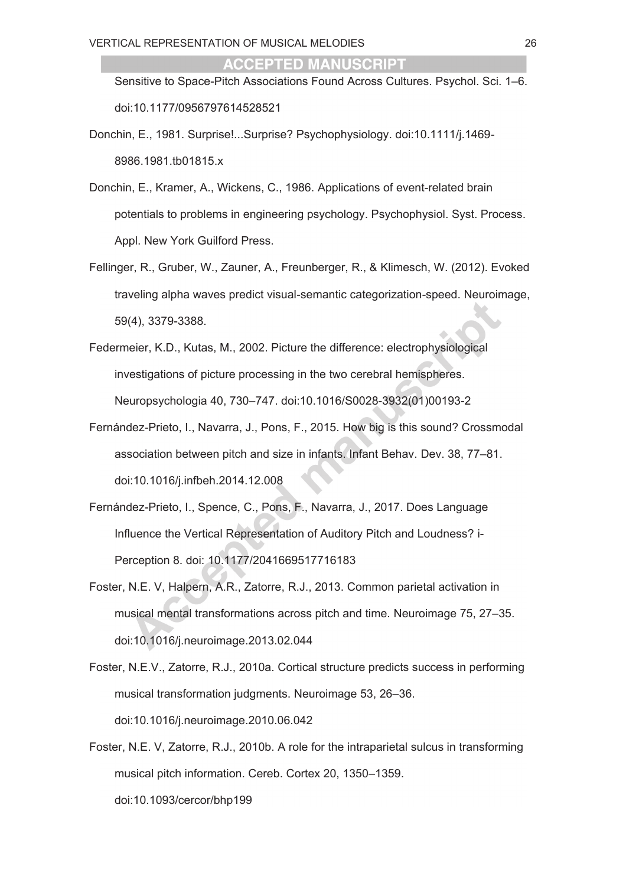Sensitive to Space-Pitch Associations Found Across Cultures. Psychol. Sci. 1–6. doi:10.1177/0956797614528521

- Donchin, E., 1981. Surprise!...Surprise? Psychophysiology. doi:10.1111/j.1469- 8986.1981.tb01815.x
- Donchin, E., Kramer, A., Wickens, C., 1986. Applications of event-related brain potentials to problems in engineering psychology. Psychophysiol. Syst. Process. Appl. New York Guilford Press.
- Fellinger, R., Gruber, W., Zauner, A., Freunberger, R., & Klimesch, W. (2012). Evoked traveling alpha waves predict visual-semantic categorization-speed. Neuroimage, 59(4), 3379-3388.
- Federmeier, K.D., Kutas, M., 2002. Picture the difference: electrophysiological investigations of picture processing in the two cerebral hemispheres. Neuropsychologia 40, 730–747. doi:10.1016/S0028-3932(01)00193-2
- Fernández-Prieto, I., Navarra, J., Pons, F., 2015. How big is this sound? Crossmodal association between pitch and size in infants. Infant Behav. Dev. 38, 77–81. doi:10.1016/j.infbeh.2014.12.008
- Fernández-Prieto, I., Spence, C., Pons, F., Navarra, J., 2017. Does Language Influence the Vertical Representation of Auditory Pitch and Loudness? i-Perception 8. doi: 10.1177/2041669517716183
- Foster, N.E. V, Halpern, A.R., Zatorre, R.J., 2013. Common parietal activation in musical mental transformations across pitch and time. Neuroimage 75, 27–35. doi:10.1016/j.neuroimage.2013.02.044
- Foster, N.E.V., Zatorre, R.J., 2010a. Cortical structure predicts success in performing musical transformation judgments. Neuroimage 53, 26–36. doi:10.1016/j.neuroimage.2010.06.042
- Foster, N.E. V, Zatorre, R.J., 2010b. A role for the intraparietal sulcus in transforming musical pitch information. Cereb. Cortex 20, 1350–1359. doi:10.1093/cercor/bhp199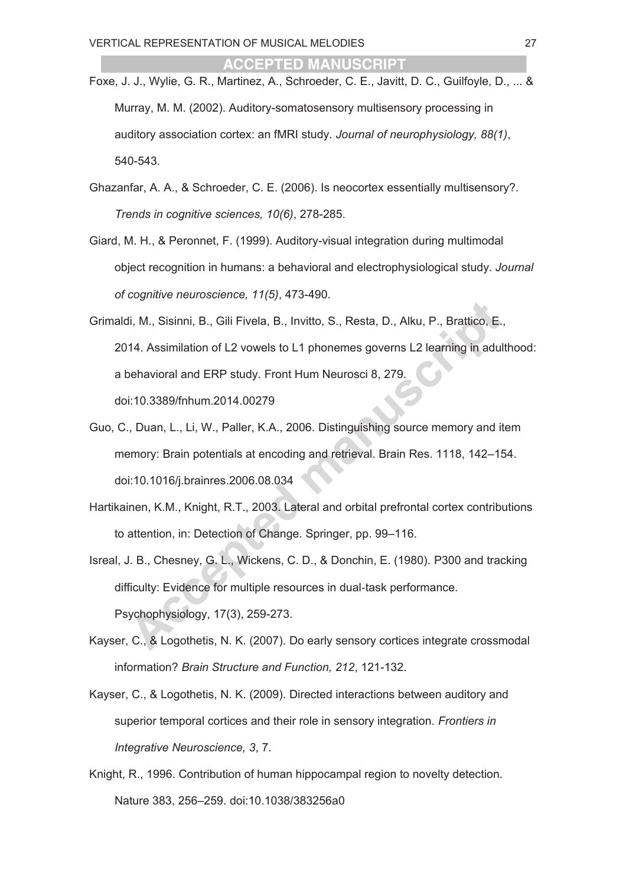- Foxe, J. J., Wylie, G. R., Martinez, A., Schroeder, C. E., Javitt, D. C., Guilfoyle, D., ... & Murray, M. M. (2002). Auditory-somatosensory multisensory processing in auditory association cortex: an fMRI study. *Journal of neurophysiology, 88(1)*, 540-543.
- Ghazanfar, A. A., & Schroeder, C. E. (2006). Is neocortex essentially multisensory?. *Trends in cognitive sciences, 10(6)*, 278-285.
- Giard, M. H., & Peronnet, F. (1999). Auditory-visual integration during multimodal object recognition in humans: a behavioral and electrophysiological study. *Journal of cognitive neuroscience, 11(5)*, 473-490.
- Grimaldi, M., Sisinni, B., Gili Fivela, B., Invitto, S., Resta, D., Alku, P., Brattico, E., 2014. Assimilation of L2 vowels to L1 phonemes governs L2 learning in adulthood: a behavioral and ERP study. Front Hum Neurosci 8, 279. doi:10.3389/fnhum.2014.00279
- Guo, C., Duan, L., Li, W., Paller, K.A., 2006. Distinguishing source memory and item memory: Brain potentials at encoding and retrieval. Brain Res. 1118, 142–154. doi:10.1016/j.brainres.2006.08.034
- Hartikainen, K.M., Knight, R.T., 2003. Lateral and orbital prefrontal cortex contributions to attention, in: Detection of Change. Springer, pp. 99–116.
- Isreal, J. B., Chesney, G. L., Wickens, C. D., & Donchin, E. (1980). P300 and tracking difficulty: Evidence for multiple resources in dual-task performance. Psychophysiology, 17(3), 259-273.
- Kayser, C., & Logothetis, N. K. (2007). Do early sensory cortices integrate crossmodal information? *Brain Structure and Function, 212*, 121-132.
- Kayser, C., & Logothetis, N. K. (2009). Directed interactions between auditory and superior temporal cortices and their role in sensory integration. *Frontiers in Integrative Neuroscience, 3*, 7.
- Knight, R., 1996. Contribution of human hippocampal region to novelty detection. Nature 383, 256–259. doi:10.1038/383256a0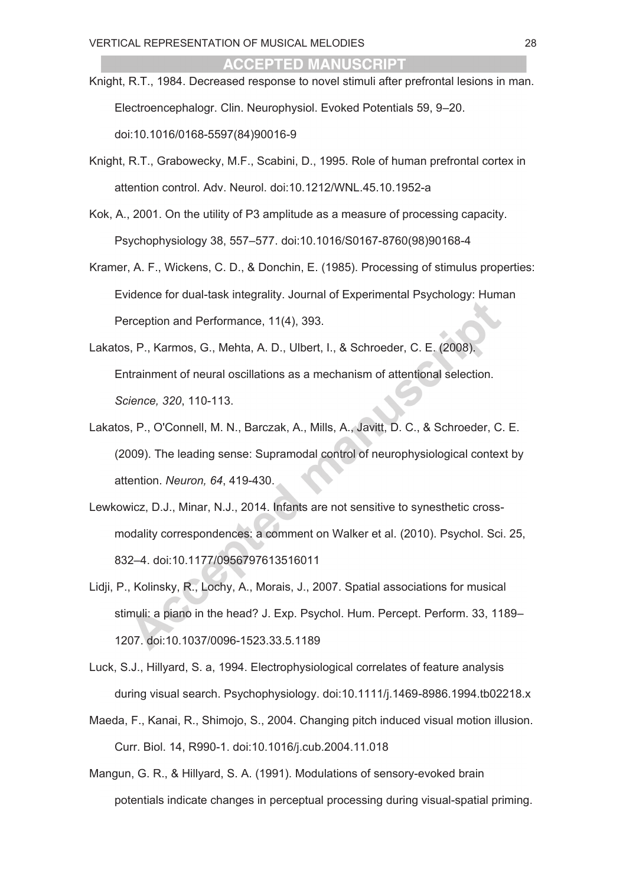- Knight, R.T., 1984. Decreased response to novel stimuli after prefrontal lesions in man. Electroencephalogr. Clin. Neurophysiol. Evoked Potentials 59, 9–20. doi:10.1016/0168-5597(84)90016-9
- Knight, R.T., Grabowecky, M.F., Scabini, D., 1995. Role of human prefrontal cortex in attention control. Adv. Neurol. doi:10.1212/WNL.45.10.1952-a
- Kok, A., 2001. On the utility of P3 amplitude as a measure of processing capacity. Psychophysiology 38, 557–577. doi:10.1016/S0167-8760(98)90168-4
- Kramer, A. F., Wickens, C. D., & Donchin, E. (1985). Processing of stimulus properties: Evidence for dual-task integrality. Journal of Experimental Psychology: Human Perception and Performance, 11(4), 393.
- Lakatos, P., Karmos, G., Mehta, A. D., Ulbert, I., & Schroeder, C. E. (2008). Entrainment of neural oscillations as a mechanism of attentional selection. *Science, 320*, 110-113.
- Lakatos, P., O'Connell, M. N., Barczak, A., Mills, A., Javitt, D. C., & Schroeder, C. E. (2009). The leading sense: Supramodal control of neurophysiological context by attention. *Neuron, 64*, 419-430.
- Lewkowicz, D.J., Minar, N.J., 2014. Infants are not sensitive to synesthetic crossmodality correspondences: a comment on Walker et al. (2010). Psychol. Sci. 25, 832–4. doi:10.1177/0956797613516011
- Lidji, P., Kolinsky, R., Lochy, A., Morais, J., 2007. Spatial associations for musical stimuli: a piano in the head? J. Exp. Psychol. Hum. Percept. Perform. 33, 1189– 1207. doi:10.1037/0096-1523.33.5.1189
- Luck, S.J., Hillyard, S. a, 1994. Electrophysiological correlates of feature analysis during visual search. Psychophysiology. doi:10.1111/j.1469-8986.1994.tb02218.x
- Maeda, F., Kanai, R., Shimojo, S., 2004. Changing pitch induced visual motion illusion. Curr. Biol. 14, R990-1. doi:10.1016/j.cub.2004.11.018
- Mangun, G. R., & Hillyard, S. A. (1991). Modulations of sensory-evoked brain potentials indicate changes in perceptual processing during visual-spatial priming.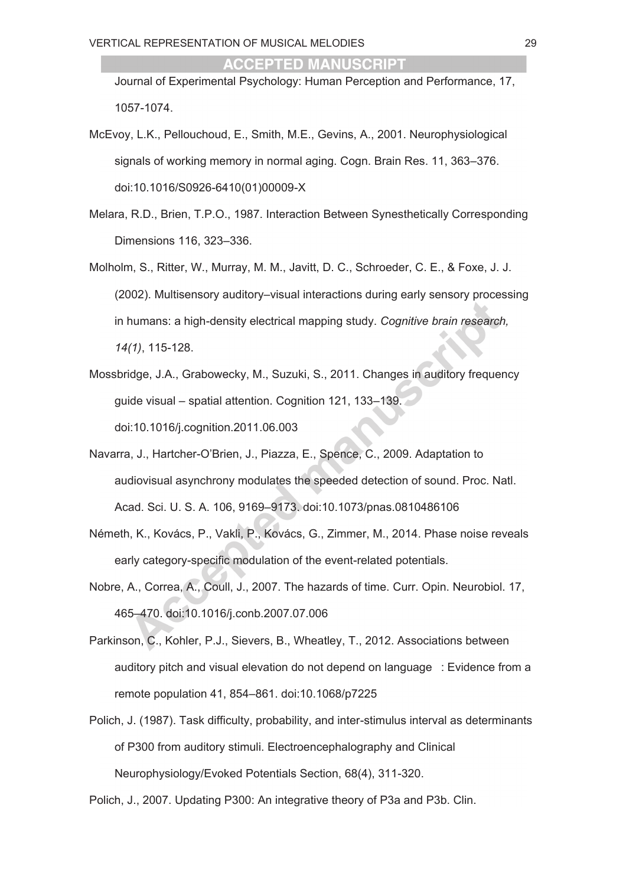Journal of Experimental Psychology: Human Perception and Performance, 17, 1057-1074.

- McEvoy, L.K., Pellouchoud, E., Smith, M.E., Gevins, A., 2001. Neurophysiological signals of working memory in normal aging. Cogn. Brain Res. 11, 363–376. doi:10.1016/S0926-6410(01)00009-X
- Melara, R.D., Brien, T.P.O., 1987. Interaction Between Synesthetically Corresponding Dimensions 116, 323–336.
- Molholm, S., Ritter, W., Murray, M. M., Javitt, D. C., Schroeder, C. E., & Foxe, J. J. (2002). Multisensory auditory–visual interactions during early sensory processing in humans: a high-density electrical mapping study. *Cognitive brain research, 14(1)*, 115-128.
- Mossbridge, J.A., Grabowecky, M., Suzuki, S., 2011. Changes in auditory frequency guide visual – spatial attention. Cognition 121, 133–139. doi:10.1016/j.cognition.2011.06.003
- Navarra, J., Hartcher-O'Brien, J., Piazza, E., Spence, C., 2009. Adaptation to audiovisual asynchrony modulates the speeded detection of sound. Proc. Natl. Acad. Sci. U. S. A. 106, 9169–9173. doi:10.1073/pnas.0810486106
- Németh, K., Kovács, P., Vakli, P., Kovács, G., Zimmer, M., 2014. Phase noise reveals early category-specific modulation of the event-related potentials.
- Nobre, A., Correa, A., Coull, J., 2007. The hazards of time. Curr. Opin. Neurobiol. 17, 465–470. doi:10.1016/j.conb.2007.07.006
- Parkinson, C., Kohler, P.J., Sievers, B., Wheatley, T., 2012. Associations between auditory pitch and visual elevation do not depend on language : Evidence from a remote population 41, 854–861. doi:10.1068/p7225
- Polich, J. (1987). Task difficulty, probability, and inter-stimulus interval as determinants of P300 from auditory stimuli. Electroencephalography and Clinical Neurophysiology/Evoked Potentials Section, 68(4), 311-320.

Polich, J., 2007. Updating P300: An integrative theory of P3a and P3b. Clin.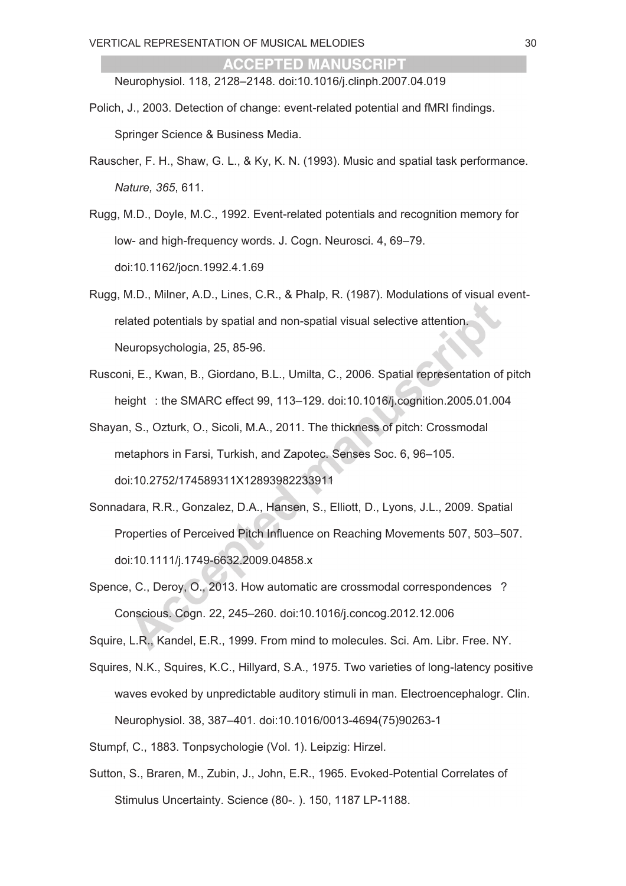Neurophysiol. 118, 2128–2148. doi:10.1016/j.clinph.2007.04.019

- Polich, J., 2003. Detection of change: event-related potential and fMRI findings. Springer Science & Business Media.
- Rauscher, F. H., Shaw, G. L., & Ky, K. N. (1993). Music and spatial task performance. *Nature, 365*, 611.
- Rugg, M.D., Doyle, M.C., 1992. Event-related potentials and recognition memory for low- and high-frequency words. J. Cogn. Neurosci. 4, 69–79. doi:10.1162/jocn.1992.4.1.69
- Rugg, M.D., Milner, A.D., Lines, C.R., & Phalp, R. (1987). Modulations of visual eventrelated potentials by spatial and non-spatial visual selective attention. Neuropsychologia, 25, 85-96.
- Rusconi, E., Kwan, B., Giordano, B.L., Umilta, C., 2006. Spatial representation of pitch height : the SMARC effect 99, 113–129. doi:10.1016/j.cognition.2005.01.004
- Shayan, S., Ozturk, O., Sicoli, M.A., 2011. The thickness of pitch: Crossmodal metaphors in Farsi, Turkish, and Zapotec. Senses Soc. 6, 96–105. doi:10.2752/174589311X12893982233911
- Sonnadara, R.R., Gonzalez, D.A., Hansen, S., Elliott, D., Lyons, J.L., 2009. Spatial Properties of Perceived Pitch Influence on Reaching Movements 507, 503–507. doi:10.1111/j.1749-6632.2009.04858.x
- Spence, C., Deroy, O., 2013. How automatic are crossmodal correspondences ? Conscious. Cogn. 22, 245–260. doi:10.1016/j.concog.2012.12.006

Squire, L.R., Kandel, E.R., 1999. From mind to molecules. Sci. Am. Libr. Free. NY.

- Squires, N.K., Squires, K.C., Hillyard, S.A., 1975. Two varieties of long-latency positive waves evoked by unpredictable auditory stimuli in man. Electroencephalogr. Clin. Neurophysiol. 38, 387–401. doi:10.1016/0013-4694(75)90263-1
- Stumpf, C., 1883. Tonpsychologie (Vol. 1). Leipzig: Hirzel.
- Sutton, S., Braren, M., Zubin, J., John, E.R., 1965. Evoked-Potential Correlates of Stimulus Uncertainty. Science (80-. ). 150, 1187 LP-1188.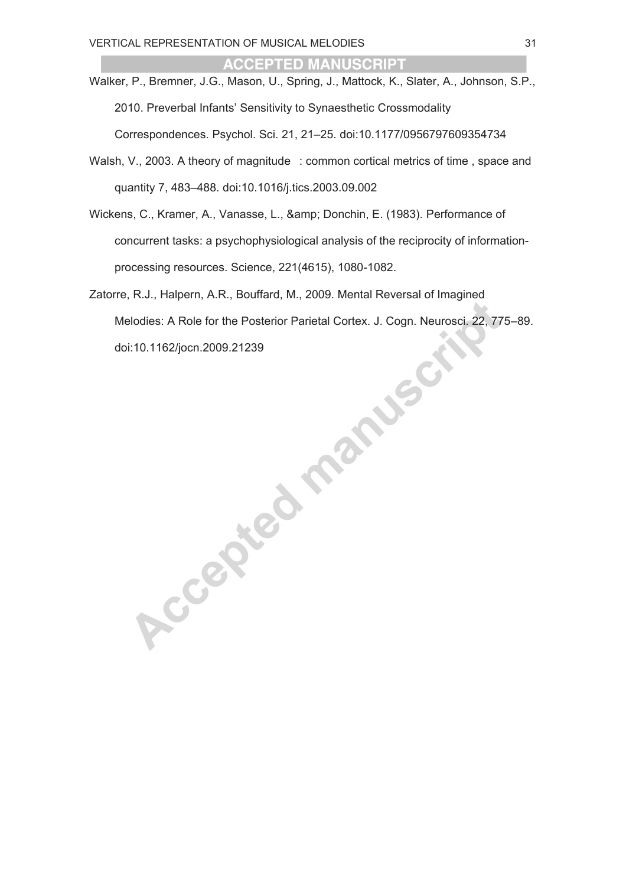- Walker, P., Bremner, J.G., Mason, U., Spring, J., Mattock, K., Slater, A., Johnson, S.P., 2010. Preverbal Infants' Sensitivity to Synaesthetic Crossmodality Correspondences. Psychol. Sci. 21, 21–25. doi:10.1177/0956797609354734
- Walsh, V., 2003. A theory of magnitude : common cortical metrics of time, space and quantity 7, 483–488. doi:10.1016/j.tics.2003.09.002
- Wickens, C., Kramer, A., Vanasse, L., & amp; Donchin, E. (1983). Performance of concurrent tasks: a psychophysiological analysis of the reciprocity of informationprocessing resources. Science, 221(4615), 1080-1082.
- Zatorre, R.J., Halpern, A.R., Bouffard, M., 2009. Mental Reversal of Imagined Melodies: A Role for the Posterior Parietal Cortex. J. Cogn. Neurosci. 22, 775–89. doi:10.1162/jocn.2009.21239<br>doi:10.1162/jocn.2009.21239<br>doi:10.1162/jocn.2009.21239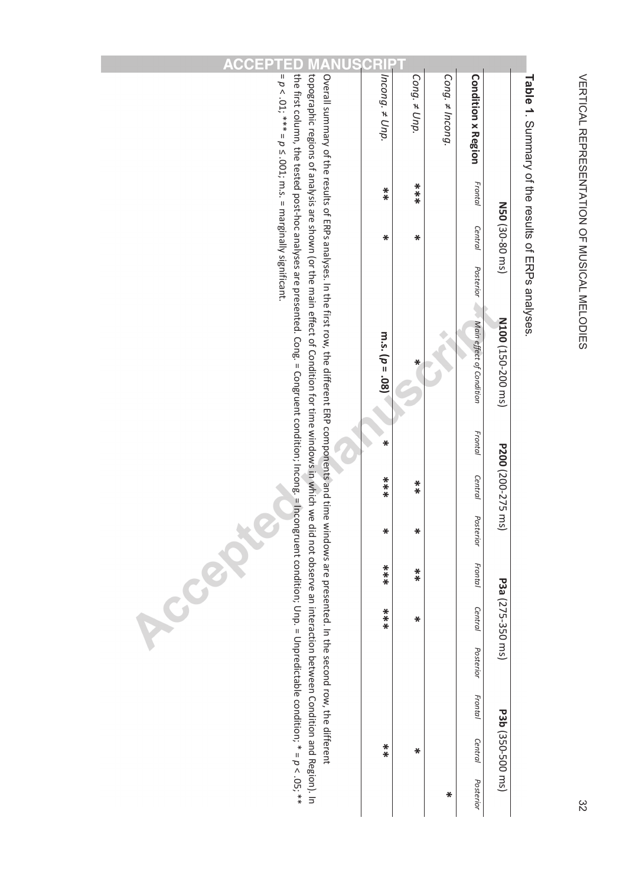

# **Table 1** Summan of the series of ERPs and the search of the search of  $\sim$ . Summary of the results of ERPs analyses.

|                                                                                                                                                                                                                                                                                                                                                                                                                                                        | RI                  |                   |                      |                           |                   |                                                          |
|--------------------------------------------------------------------------------------------------------------------------------------------------------------------------------------------------------------------------------------------------------------------------------------------------------------------------------------------------------------------------------------------------------------------------------------------------------|---------------------|-------------------|----------------------|---------------------------|-------------------|----------------------------------------------------------|
| $= p < .01$ ; *** $= p \le .001$ ; m.s. $=$ marginally significant.                                                                                                                                                                                                                                                                                                                                                                                    | $ ncond. \neq Unp.$ | Cong. $\neq$ Unp. | Cong. $\neq$ Incong. | <b>Condition x Region</b> |                   | i dule i: Oullillialy Ol tile lesults Ol ENFS dildiyses. |
|                                                                                                                                                                                                                                                                                                                                                                                                                                                        | $*$                 | $***$             |                      | Frontal                   |                   |                                                          |
|                                                                                                                                                                                                                                                                                                                                                                                                                                                        | ₩                   | ₩                 |                      | <b>Central</b>            | N50 (30-80 ms)    |                                                          |
|                                                                                                                                                                                                                                                                                                                                                                                                                                                        |                     |                   |                      | <b>Posterior</b>          |                   |                                                          |
| The first column, the tested post-hoc analyses are presented. Cong. = Congruent congruent condition; Incong. = Incongruent congruent congruent congruent congruent condition; Unp. = Unpredictable condition; * = $p < .05; **$<br>topographic regions of analysis are shown (or the main effect of Condition for time windows in which we<br>Overall summary of the results of ERPs analyses. In the flist row, the different ERP components and time | m.s. $(p = .08)$    | ₩                 |                      | Main effect of Condition  | N100 (150-200 ms) |                                                          |
|                                                                                                                                                                                                                                                                                                                                                                                                                                                        | ₩                   |                   |                      | Frontal                   |                   |                                                          |
|                                                                                                                                                                                                                                                                                                                                                                                                                                                        | $***$               | $*$               |                      | Central                   | P200 (200-275 ms) |                                                          |
|                                                                                                                                                                                                                                                                                                                                                                                                                                                        | ₩                   | ₩                 |                      | Posterior                 |                   |                                                          |
| did not observe an interaction between Condition and Region). In<br>windows are presented. In the second row, the different<br>C<br>RC                                                                                                                                                                                                                                                                                                                 | $***$               | $*$               |                      | Frontal                   |                   |                                                          |
|                                                                                                                                                                                                                                                                                                                                                                                                                                                        | $***$               | ₩                 |                      | Central                   | P3a (275-350 ms)  |                                                          |
|                                                                                                                                                                                                                                                                                                                                                                                                                                                        |                     |                   |                      | Posterior                 |                   |                                                          |
|                                                                                                                                                                                                                                                                                                                                                                                                                                                        |                     |                   |                      | Frontal                   |                   |                                                          |
|                                                                                                                                                                                                                                                                                                                                                                                                                                                        | $*$                 | ₩                 |                      | Central                   | P3b (350-500 ms)  |                                                          |
|                                                                                                                                                                                                                                                                                                                                                                                                                                                        |                     |                   | ₩                    | Posterior                 |                   |                                                          |